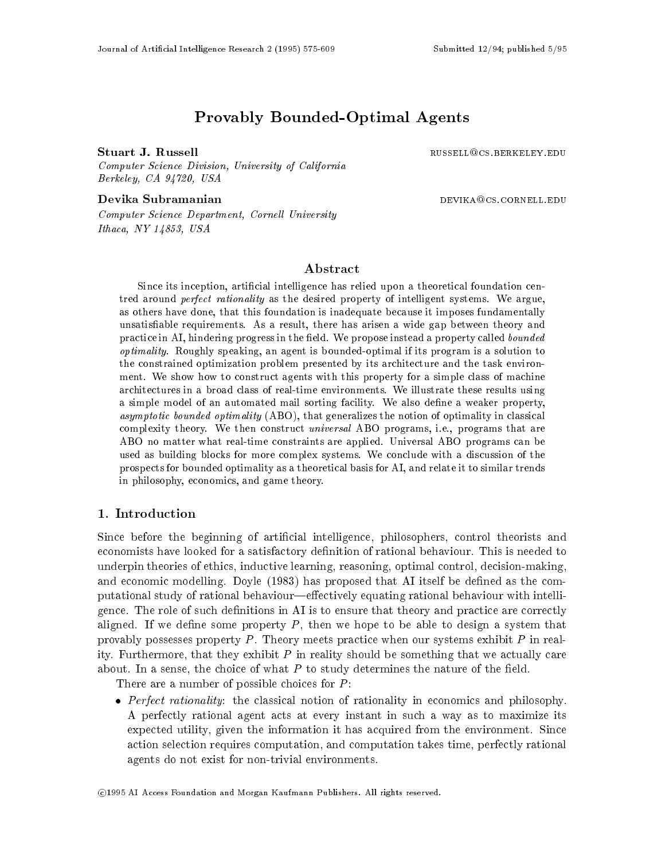# Provably Bounded-Optimal Agents

Computer Science Division, University of California Berkeley, CA 94720, USA

Devika Subramanian devices and the settlement of the settlement of the settlement of the settlement of the set

Stuart J. Russell **Russell Russell Russell** RUSSELL<sup>Q</sup>CS.BERKELEY.EDU

Computer Science Department, Cornell University Ithaca, NY 14853, USA

# ${\bf Abstract}$

Since its inception, artificial intelligence has relied upon a theoretical foundation centred around *perfect rationality* as the desired property of intelligent systems. We argue, as others have done, that this foundation is inadequate because it imposes fundamentally unsatisable requirements. As a result, there has arisen a wide gap between theory and practice in AI, hindering progress in the field. We propose instead a property called bounded optimality. Roughly speaking, an agent is bounded-optimal if its program is a solution to the constrained optimization problem presented by its architecture and the task environment. We show how to construct agents with this property for a simple class of machine architectures in a broad class of real-time environments. We illustrate these results using a simple model of an automated mail sorting facility. We also define a weaker property, asymptotic bounded optimality (ABO), that generalizes the notion of optimality in classical complexity theory. We then construct *universal* ABO programs, i.e., programs that are ABO no matter what real-time constraints are applied. Universal ABO programs can be used as building blocks for more complex systems. We conclude with a discussion of the prospects for bounded optimality as a theoretical basis for AI, and relate it to similar trends in philosophy, economics, and game theory.

# 1. Introduction

Since before the beginning of artificial intelligence, philosophers, control theorists and economists have looked for a satisfactory definition of rational behaviour. This is needed to underpin theories of ethics, inductive learning, reasoning, optimal control, decision-making, and economic modelling. Doyle  $(1983)$  has proposed that AI itself be defined as the computational study of rational behaviour—effectively equating rational behaviour with intelligence. The role of such definitions in AI is to ensure that theory and practice are correctly aligned. If we define some property  $P$ , then we hope to be able to design a system that provably possesses property  $P$ . Theory meets practice when our systems exhibit  $P$  in reality. Furthermore, that they exhibit  $P$  in reality should be something that we actually care about. In a sense, the choice of what  $P$  to study determines the nature of the field.

There are a number of possible choices for  $P$ :

 $\bullet$  *Perfect rationality*: the classical notion of rationality in economics and philosophy. A perfectly rational agent acts at every instant in suchaway as to maximize its expected utility, given the information it has acquired from the environment. Since action selection requires computation, and computation takes time, perfectly rational agents do not exist for non-trivial environments.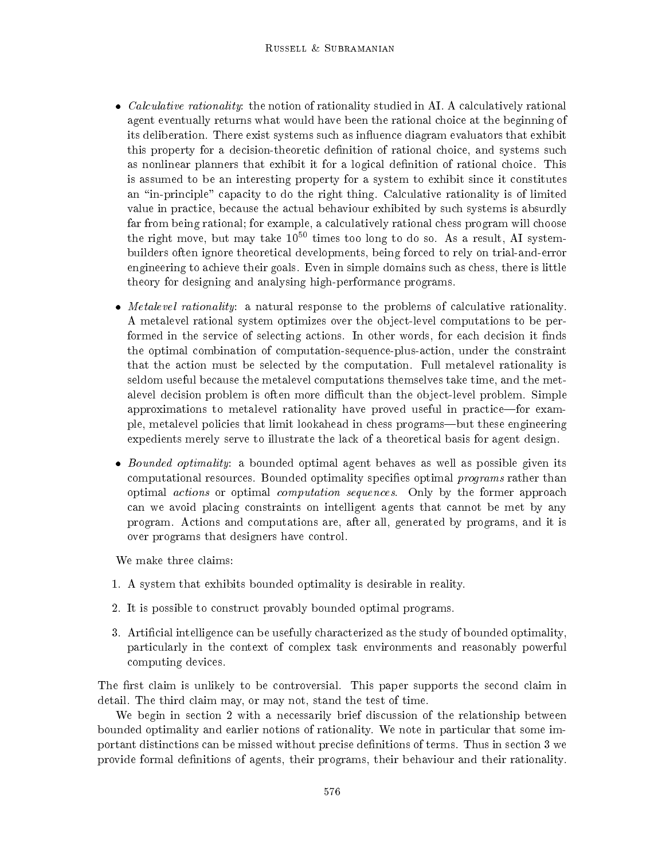- $\bullet$  *Calculative rationality*: the notion of rationality studied in AI. A calculatively rational agent eventually returns what would have been the rational choice at the beginning of its deliberation. There exist systems such as influence diagram evaluators that exhibit this property for a decision-theoretic denition of rational choice, and systems such as nonlinear planners that exhibit it for a logical denition of rational choice. This is assumed to be an interesting property for a system to exhibit since it constitutes an "in-principle" capacity to do the right thing. Calculative rationality is of limited value in practice, because the actual behaviour exhibited by such systems is absurdly far from being rational; for example, a calculatively rational chess program will choose the right move, but may take  $10^{50}$  times too long to do so. As a result, AI systembuilders often ignore theoretical developments, being forced to rely on trial-and-error engineering to achieve their goals. Even in simple domains such as chess, there is little theory for designing and analysing high-performance programs.
- $\bullet$  *Metalevel rationality*: a natural response to the problems of calculative rationality. A metalevel rational system optimizes over the object-level computations to be performed in the service of selecting actions. In other words, for each decision it finds the optimal combination of computation-sequence-plus-action, under the constraint that the action must be selected by the computation. Full metalevel rationality is seldom useful because the metalevel computations themselves take time, and the metalevel decision problem is often more difficult than the object-level problem. Simple approximations to metalevel rationality have proved useful in practice—for example, metalevel policies that limit lookahead in chess programs—but these engineering expedients merely serve to illustrate the lack of a theoretical basis for agent design.
- $\bullet$  *Bounded optimality*: a bounded optimal agent behaves as well as possible given its computational resources. Bounded optimality specifies optimal *programs* rather than optimal actions or optimal computation sequences. Only by the former approach can we avoid placing constraints on intelligent agents that cannot be met by any program. Actions and computations are, after all, generated by programs, and it is over programs that designers have control.

We make three claims:

- 1. A system that exhibits bounded optimality is desirable in reality.
- 2. It is possible to construct provably bounded optimal programs.
- 3. Articial intelligence can be usefully characterized as the study of bounded optimality, particularly in the context of complex task environments and reasonably powerful computing devices.

The first claim is unlikely to be controversial. This paper supports the second claim in detail. The third claim may, or may not, stand the test of time.

We begin in section 2 with a necessarily brief discussion of the relationship between bounded optimality and earlier notions of rationality. We note in particular that some important distinctions can be missed without precise denitions of terms. Thus in section 3 we provide formal definitions of agents, their programs, their behaviour and their rationality.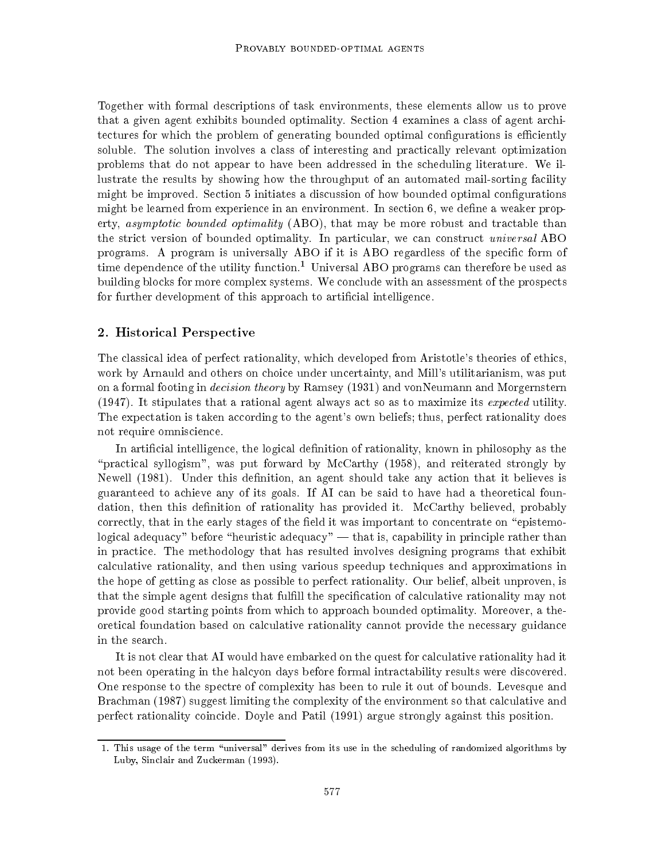Together with formal descriptions of task environments, these elements allow us to prove that a given agent exhibits bounded optimality. Section 4 examines a class of agent architectures for which the problem of generating bounded optimal configurations is efficiently soluble. The solution involves a class of interesting and practically relevant optimization problems that do not appear to have been addressed in the scheduling literature. We illustrate the results by showing how the throughput of an automated mail-sorting facility might be improved. Section 5 initiates a discussion of how bounded optimal congurations might be learned from experience in an environment. In section  $6$ , we define a weaker property, *asymptotic bounded optimality* (ABO), that may be more robust and tractable than the strict version of bounded optimality. In particular, we can construct universal ABO programs. A program is universally ABO if it is ABO regardless of the specific form of time dependence of the utility function.<sup>1</sup> Universal ABO programs can therefore be used as building blocks for more complex systems. We conclude with an assessment of the prospects for further development of this approach to articial intelligence.

### 2. Historical Perspective

The classical idea of perfect rationality, which developed from Aristotle's theories of ethics, work by Arnauld and others on choice under uncertainty, and Mill's utilitarianism, was put on a formal footing in *decision theory* by Ramsey (1931) and vonNeumann and Morgernstern (1947). It stipulates that a rational agent always act so as to maximize its expected utility. The expectation is taken according to the agent's own beliefs; thus, perfect rationality does not require omniscience.

In artificial intelligence, the logical definition of rationality, known in philosophy as the "practical syllogism", was put forward by McCarthy  $(1958)$ , and reiterated strongly by Newell  $(1981)$ . Under this definition, an agent should take any action that it believes is guaranteed to achieve any of its goals. If AI can be said to have had a theoretical foundation, then this definition of rationality has provided it. McCarthy believed, probably correctly, that in the early stages of the field it was important to concentrate on "epistemological adequacy" before "heuristic adequacy"  $-$  that is, capability in principle rather than in practice. The methodology that has resulted involves designing programs that exhibit calculative rationality, and then using various speedup techniques and approximations in the hope of getting as close as possible to perfect rationality. Our belief, albeit unproven, is that the simple agent designs that fulfill the specification of calculative rationality may not provide good starting points from which to approach bounded optimality. Moreover, a theoretical foundation based on calculative rationality cannot provide the necessary guidance in the search.

It is not clear that AI would have embarked on the quest for calculative rationality had it not been operating in the halcyon days before formal intractability results were discovered. One response to the spectre of complexity has been to rule it out of bounds. Levesque and Brachman (1987) suggest limiting the complexity of the environment so that calculative and perfect rationality coincide. Doyle and Patil (1991) argue strongly against this position.

<sup>1.</sup> This usage of the term \universal" derives from its use in the scheduling of randomized algorithms by Luby, Sinclair and Zuckerman (1993).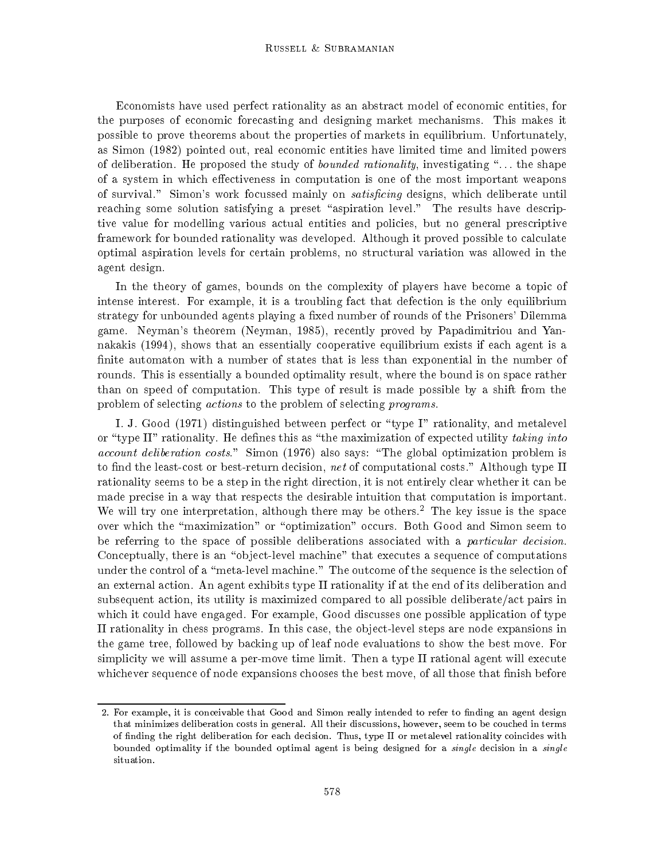Economists have used perfect rationality as an abstract model of economic entities, for the purposes of economic forecasting and designing market mechanisms. This makes it possible to prove theorems about the properties of markets in equilibrium. Unfortunately, as Simon (1982) pointed out, real economic entities have limited time and limited powers of deliberation. He proposed the study of *bounded rationality*, investigating  $\cdot \cdot \cdot$ ... the shape of a system in which effectiveness in computation is one of the most important weapons of survival." Simon's work focussed mainly on *satisficing* designs, which deliberate until reaching some solution satisfying a preset "aspiration level." The results have descriptive value for modelling various actual entities and policies, but no general prescriptive framework for bounded rationality was developed. Although it proved possible to calculate optimal aspiration levels for certain problems, no structural variation was allowed in the agent design.

In the theory of games, bounds on the complexity of players have become a topic of intense interest. For example, it is a troubling fact that defection is the only equilibrium strategy for unbounded agents playing a fixed number of rounds of the Prisoners' Dilemma game. Neyman's theorem (Neyman, 1985), recently proved by Papadimitriou and Yannakakis (1994), shows that an essentially cooperative equilibrium exists if each agent is a finite automaton with a number of states that is less than exponential in the number of rounds. This is essentially a bounded optimality result, where the bound is on space rather than on speed of computation. This type of result is made possible by a shift from the problem of selecting actions to the problem of selecting programs.

I. J. Good (1971) distinguished between perfect or \type I" rationality, and metalevel or "type II" rationality. He defines this as "the maximization of expected utility taking into  $account\;delation\; costs.$ " Simon (1976) also says: "The global optimization problem is to find the least-cost or best-return decision, net of computational costs." Although type II rationality seems to be a step in the right direction, it is not entirely clear whether it can be made precise in a way that respects the desirable intuition that computation is important. We will try one interpretation, although there may be others.<sup>2</sup> The key issue is the space over which the "maximization" or "optimization" occurs. Both Good and Simon seem to be referring to the space of possible deliberations associated with a particular decision. Conceptually, there is an "object-level machine" that executes a sequence of computations under the control of a "meta-level machine." The outcome of the sequence is the selection of an external action. An agent exhibits type II rationality if at the end of its deliberation and subsequent action, its utility is maximized compared to all possible deliberate/act pairs in which it could have engaged. For example, Good discusses one possible application of type II rationality in chess programs. In this case, the object-level steps are node expansions in the game tree, followed by backing up of leaf node evaluations to show the best move. For simplicity we will assume a per-move time limit. Then a type II rational agent will execute whichever sequence of node expansions chooses the best move, of all those that finish before

<sup>2.</sup> For example, it is conceivable that Good and Simon really intended to refer to finding an agent design that minimizes deliberation costs in general. All their discussions, however, seem to be couched in terms of nding the right deliberation for each decision. Thus, type II or metalevel rationality coincides with bounded optimality if the bounded optimal agent is being designed for a single decision in a single situation.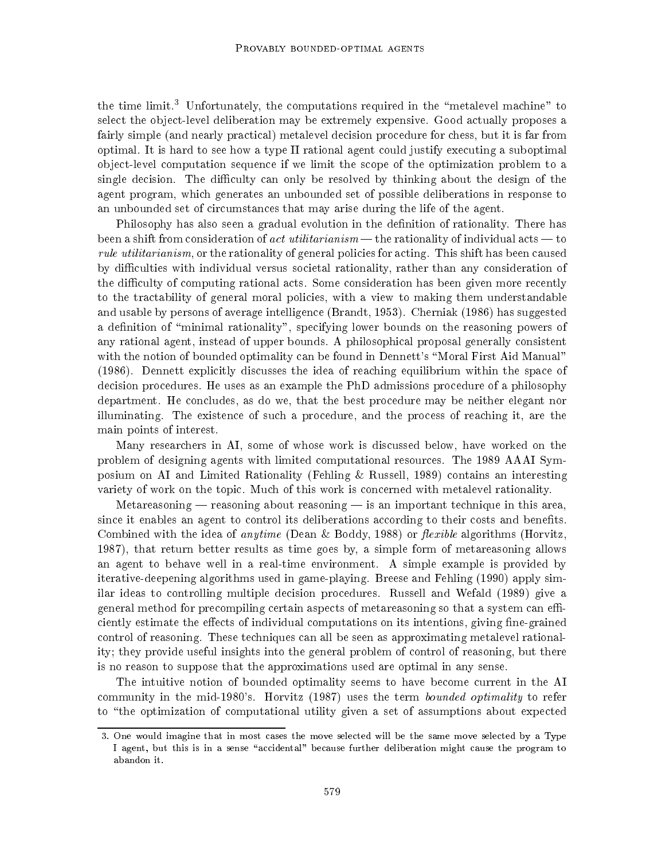the time limit.<sup>3</sup> Unfortunately, the computations required in the "metalevel machine" to select the object-level deliberation may be extremely expensive. Good actually proposes a fairly simple (and nearly practical) metalevel decision procedure for chess, but it is far from optimal. It is hard to see howatype II rational agent could justify executing a suboptimal object-level computation sequence if we limit the scope of the optimization problem to a single decision. The difficulty can only be resolved by thinking about the design of the agent program, which generates an unbounded set of possible deliberations in response to an unbounded set of circumstances that may arise during the life of the agent.

Philosophy has also seen a gradual evolution in the definition of rationality. There has been a shift from consideration of act utilitarianism — the rationality of individual acts — to rule utilitarianism, or the rationality of general policies for acting. This shift has been caused by difficulties with individual versus societal rationality, rather than any consideration of the difficulty of computing rational acts. Some consideration has been given more recently to the tractability of general moral policies, with a view to making them understandable and usable by persons of average intelligence (Brandt, 1953). Cherniak (1986) has suggested a definition of "minimal rationality", specifying lower bounds on the reasoning powers of any rational agent, instead of upper bounds. A philosophical proposal generally consistent with the notion of bounded optimality can be found in Dennett's "Moral First Aid Manual" (1986). Dennett explicitly discusses the idea of reaching equilibrium within the space of decision procedures. He uses as an example the PhD admissions procedure of a philosophy department. He concludes, as do we, that the best procedure may be neither elegant nor illuminating. The existence of such a procedure, and the process of reaching it, are the main points of interest.

Many researchers in AI, some of whose work is discussed below, have worked on the problem of designing agents with limited computational resources. The 1989 AAAI Symposium on AI and Limited Rationality (Fehling & Russell, 1989) contains an interesting variety of work on the topic. Much of this work is concerned with metalevel rationality.

Metareasoning  $-$  reasoning about reasoning  $-$  is an important technique in this area, since it enables an agent to control its deliberations according to their costs and benets. Combined with the idea of *anytime* (Dean & Boddy, 1988) or *flexible* algorithms (Horvitz, 1987), that return better results as time goes by, a simple form of metareasoning allows an agent to behave well in a real-time environment. A simple example is provided by iterative-deepening algorithms used in game-playing. Breese and Fehling (1990) apply similar ideas to controlling multiple decision procedures. Russell and Wefald (1989) give a general method for precompiling certain aspects of metareasoning so that a system can efficiently estimate the effects of individual computations on its intentions, giving fine-grained control of reasoning. These techniques can all be seen as approximating metalevel rationality; they provide useful insights into the general problem of control of reasoning, but there is no reason to suppose that the approximations used are optimal in any sense.

The intuitive notion of bounded optimality seems to have become current in the AI community in the mid-1980's. Horvitz (1987) uses the term *bounded optimality* to refer to "the optimization of computational utility given a set of assumptions about expected

<sup>3.</sup> One would imagine that in most cases the move selected will be the same move selected byaType I agent, but this is in a sense "accidental" because further deliberation might cause the program to abandon it.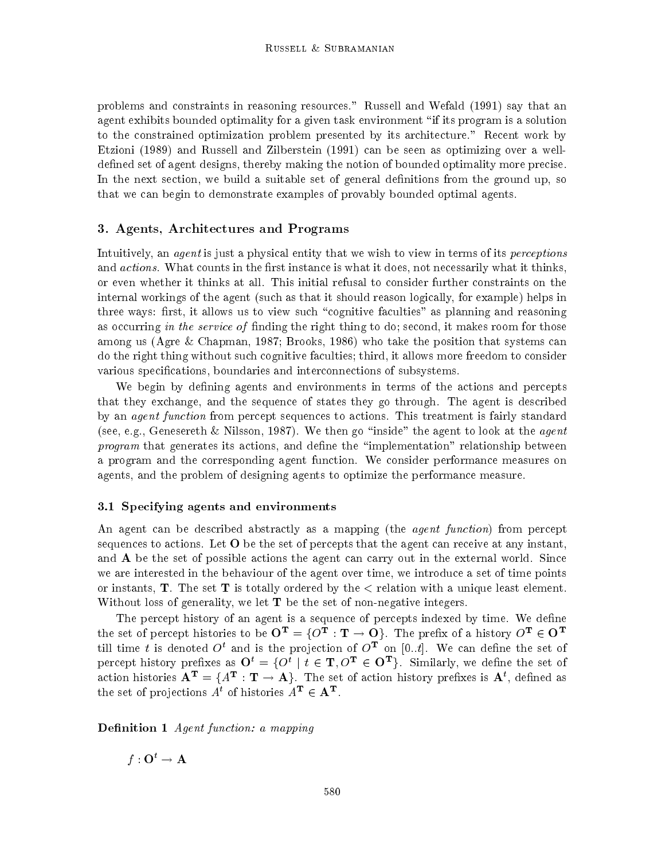problems and constraints in reasoning resources." Russell and Wefald (1991) say that an agent exhibits bounded optimality for a given task environment \if its program is a solution to the constrained optimization problem presented by its architecture." Recent work by Etzioni (1989) and Russell and Zilberstein (1991) can be seen as optimizing over a welldefined set of agent designs, thereby making the notion of bounded optimality more precise. In the next section, we build a suitable set of general definitions from the ground up, so that we can begin to demonstrate examples of provably bounded optimal agents.

### 3. Agents, Architectures and Programs

Intuitively, an agent is just a physical entity that we wish to view in terms of its perceptions and *actions*. What counts in the first instance is what it does, not necessarily what it thinks, or even whether it thinks at all. This initial refusal to consider further constraints on the internal workings of the agent (such as that it should reason logically, for example) helps in three ways: first, it allows us to view such "cognitive faculties" as planning and reasoning as occurring in the service of finding the right thing to do; second, it makes room for those among us (Agre & Chapman, 1987; Brooks, 1986) who take the position that systems can do the right thing without such cognitive faculties; third, it allows more freedom to consider various specications, boundaries and interconnections of subsystems.

We begin by defining agents and environments in terms of the actions and percepts that they exchange, and the sequence of states they go through. The agent is described by an *agent function* from percept sequences to actions. This treatment is fairly standard (see, e.g., Genesereth & Nilsson, 1987). We then go "inside" the agent to look at the agent program that generates its actions, and define the "implementation" relationship between a program and the corresponding agent function. We consider performance measures on agents, and the problem of designing agents to optimize the performance measure.

### 3.1 Specifying agents and environments

An agent can be described abstractly as a mapping (the *agent function*) from percept sequences to actions. Let  $O$  be the set of percepts that the agent can receive at any instant, and A be the set of possible actions the agent can carry out in the external world. Since we are interested in the behaviour of the agent over time, we introduce a set of time points or instants,  $\mathbf{T}$ . The set  $\mathbf{T}$  is totally ordered by the  $\epsilon$  relation with a unique least element. Without loss of generality, we let  $T$  be the set of non-negative integers.

The percept history of an agent is a sequence of percepts indexed by time. We define the set of percept histories to be  $\mathbf{O^T} = \{O^\text{T}:\textbf{T}\to\textbf{O}\}.$  The prefix of a history  $O^\text{T}\in\textbf{O}^\text{T}$ the time t is denoted  $O_1$  and is the projection of  $O_1$  on  $[0..t]$ . We can define the set of percept history prefixes as  $\mathbf{O}^t = \{O^t \mid t \in \mathbf{T}, O^{\mathbf{T}} \in \mathbf{O}^{\mathbf{T}}\}$ . Similarly, we define the set of action histories  ${\bf A}^{\rm T}=\{A^{\rm T}:{\bf T}\to {\bf A}\}.$  The set of action history prefixes is  ${\bf A}^t,$  defined as the set of projections  $A^*$  of histories  $A^+ \in \mathbf{A}^+$ .

**Definition 1** Agent function: a mapping

 $f: \mathbf{O}^t \to \mathbf{A}$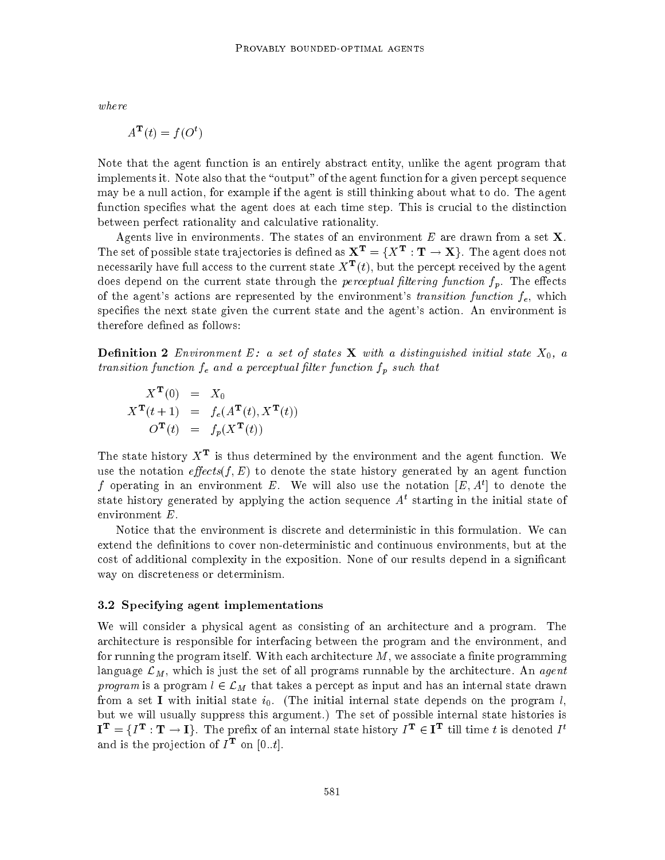where

$$
A^{\mathbf{T}}(t) = f(O^t)
$$

Note that the agent function is an entirely abstract entity, unlike the agent program that implements it. Note also that the "output" of the agent function for a given percept sequence may be a null action, for example if the agent is still thinking about what to do. The agent function specifies what the agent does at each time step. This is crucial to the distinction between perfect rationality and calculative rationality.

Agents live in environments. The states of an environment E are drawn from a set  $X$ . The set of possible state trajectories is defined as  $\mathbf{X^T}=\{X^{\mathbf{T}}:\mathbf{T}\to \mathbf{X}\}.$  The agent does not necessarily have full access to the current state  $A^- (t)$ , but the percept received by the agent does depend on the current state through the *perceptual filtering function*  $f_p$ . The effects of the agent's actions are represented by the environment's transition function  $f_e$ , which specifies the next state given the current state and the agent's action. An environment is therefore defined as follows:

**Definition 2** Environment E: a set of states **X** with a distinguished initial state  $X_0$ , a transition function  $f_e$  and a perceptual filter function  $f_p$  such that

$$
X^{\mathbf{T}}(0) = X_0
$$
  
\n
$$
X^{\mathbf{T}}(t+1) = f_e(A^{\mathbf{T}}(t), X^{\mathbf{T}}(t))
$$
  
\n
$$
O^{\mathbf{T}}(t) = f_p(X^{\mathbf{T}}(t))
$$

The state history  $X^-$  is thus determined by the environment and the agent function. We use the notation effects(f, E) to denote the state history generated by an agent function I operating in an environment  $E$ . We will also use the notation  $|E,A'|$  to denote the state history generated by applying the action sequence  $A<sup>t</sup>$  starting in the initial state of environment E.

Notice that the environment is discrete and deterministic in this formulation. We can extend the definitions to cover non-deterministic and continuous environments, but at the cost of additional complexity in the exposition. None of our results depend in a signicant way on discreteness or determinism.

### 3.2 Specifying agent implementations

We will consider a physical agent as consisting of an architecture and a program. The architecture is responsible for interfacing between the program and the environment, and for running the program itself. With each architecture  $M$ , we associate a finite programming language  $\mathcal{L}_M$ , which is just the set of all programs runnable by the architecture. An agent program is a program  $l \in \mathcal{L}_M$  that takes a percept as input and has an internal state drawn from a set I with initial state  $i_0$ . (The initial internal state depends on the program l, but we will usually suppress this argument.) The set of possible internal state histories is  ${\bf I^T}=\{I^{\bf T}:{\bf T}\to{\bf I}\}.$  The prefix of an internal state history  $I^{\bf T}\in{\bf I^T}$  till time  $t$  is denoted  $I^t$ and is the projection of  $I = 0$  [0...e.].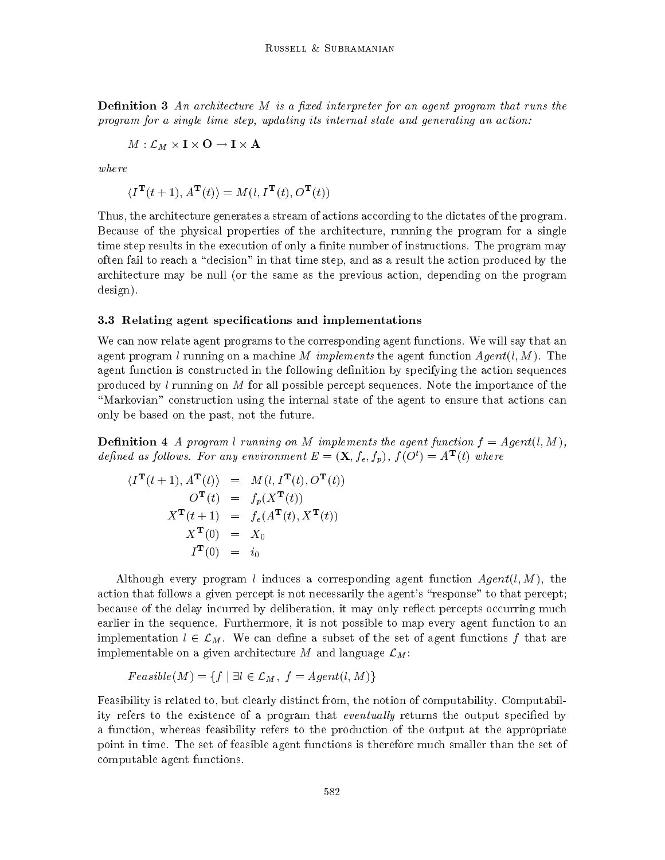**Definition 3** An architecture M is a fixed interpreter for an agent program that runs the program for a single time step, updating its internal state and generating an action:

$$
M:\mathcal{L}_M\times \mathbf{I}\times\mathbf{O}\to \mathbf{I}\times\mathbf{A}
$$

where

$$
\langle I^{\mathbf{T}}(t+1), A^{\mathbf{T}}(t) \rangle = M(l, I^{\mathbf{T}}(t), O^{\mathbf{T}}(t))
$$

Thus, the architecture generates a stream of actions according to the dictates of the program. Because of the physical properties of the architecture, running the program for a single time step results in the execution of only a finite number of instructions. The program may often fail to reach a \decision" in that time step, and as a result the action produced by the architecture may be null (or the same as the previous action, depending on the program design).

#### 3.3 Relating agent specications and implementations

We can now relate agent programs to the corresponding agent functions. We will say that an agent program l running on a machine M implements the agent function  $Agent(l, M)$ . The agent function is constructed in the following definition by specifying the action sequences produced by  $l$  running on  $M$  for all possible percept sequences. Note the importance of the \Markovian" construction using the internal state of the agent to ensure that actions can only be based on the past, not the future.

**Definition 4** A program l running on M implements the agent function  $f = Agent(l, M)$ , defined as follows. For any environment  $E = (\mathbf{\Lambda}, f_e, f_p)$ ,  $f(\mathbf{O}^*) = A^-(t)$  where

$$
\langle I^{\mathbf{T}}(t+1), A^{\mathbf{T}}(t) \rangle = M(l, I^{\mathbf{T}}(t), O^{\mathbf{T}}(t))
$$
  
\n
$$
O^{\mathbf{T}}(t) = f_p(X^{\mathbf{T}}(t))
$$
  
\n
$$
X^{\mathbf{T}}(t+1) = f_e(A^{\mathbf{T}}(t), X^{\mathbf{T}}(t))
$$
  
\n
$$
X^{\mathbf{T}}(0) = X_0
$$
  
\n
$$
I^{\mathbf{T}}(0) = i_0
$$

Although every program l induces a corresponding agent function  $Agent(l, M)$ , the action that follows a given percept is not necessarily the agent's "response" to that percept; because of the delay incurred by deliberation, it may only reflect percepts occurring much earlier in the sequence. Furthermore, it is not possible to map every agent function to an implementation  $l \in \mathcal{L}_M$ . We can define a subset of the set of agent functions f that are implementable on a given architecture M and language  $\mathcal{L}_M$ :

$$
Feasible(M) = \{ f \mid \exists l \in \mathcal{L}_M, f = Agent(l, M) \}
$$

Feasibility is related to, but clearly distinct from, the notion of computability. Computability refers to the existence of a program that *eventually* returns the output specified by a function, whereas feasibility refers to the production of the output at the appropriate point in time. The set of feasible agent functions is therefore much smaller than the set of computable agent functions.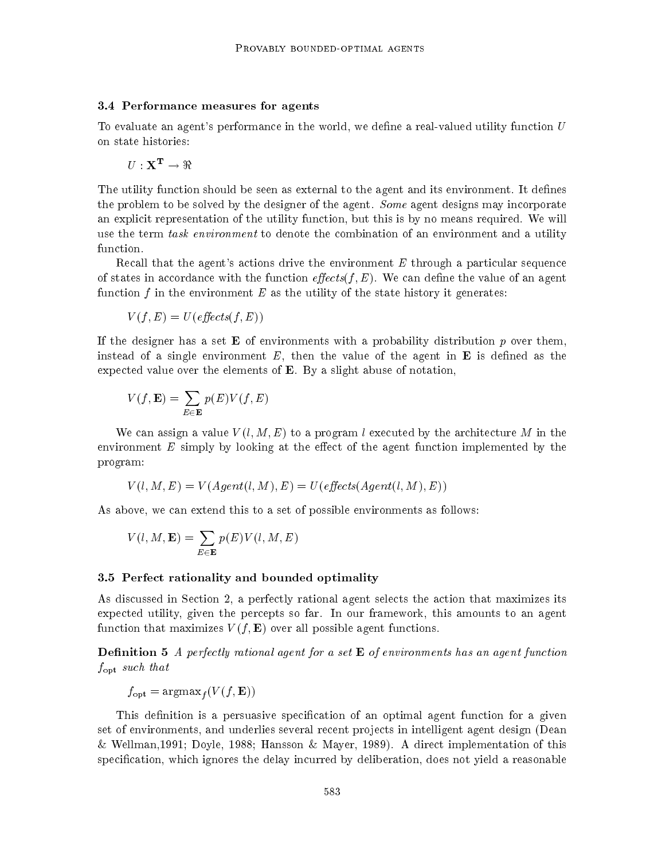#### 3.4 Performance measures for agents

To evaluate an agent's performance in the world, we define a real-valued utility function  $U$ on state histories:

$$
U:\mathbf{X^T}\rightarrow \Re
$$

The utility function should be seen as external to the agent and its environment. It defines the problem to be solved by the designer of the agent. Some agent designs may incorporate an explicit representation of the utility function, but this is by no means required. We will use the term *task environment* to denote the combination of an environment and a utility

Recall that the agent's actions drive the environment  $E$  through a particular sequence of states in accordance with the function  $\epsilon$  *ffects*(*f*, *E*). We can define the value of an agent function f in the environment  $E$  as the utility of the state history it generates:

$$
V(f, E) = U(\text{effects}(f, E))
$$

If the designer has a set **E** of environments with a probability distribution p over them, instead of a single environment  $E$ , then the value of the agent in  $\bf{E}$  is defined as the expected value over the elements of  $E$ . By a slight abuse of notation,

$$
V(f,\mathbf{E})=\sum_{E\in\mathbf{E}}p(E)V(f,E)
$$

We can assign a value  $V(l, M, E)$  to a program l executed by the architecture M in the environment  $E$  simply by looking at the effect of the agent function implemented by the program:

$$
V(l, M, E) = V(Agent(l, M), E) = U(effects(Agent(l, M), E))
$$

As above, we can extend this to a set of possible environments as follows:

$$
V(l,M,\mathbf{E})=\sum_{E\in\mathbf{E}}p(E)V(l,M,E)
$$

### 3.5 Perfect rationality and bounded optimality

As discussed in Section 2, a perfectly rational agent selects the action that maximizes its expected utility, given the percepts so far. In our framework, this amounts to an agent function that maximizes  $V(f, E)$  over all possible agent functions.

**Definition 5** A perfectly rational agent for a set  $\mathbf{E}$  of environments has an agent function fopt such that

 $f_{\text{opt}} = \text{argmax}_f (V(f, \mathbf{E}))$ 

This definition is a persuasive specification of an optimal agent function for a given set of environments, and underlies several recent projects in intelligent agent design (Dean & Wellman,1991; Doyle, 1988; Hansson & Mayer, 1989). A direct implementation of this specication, which ignores the delay incurred by deliberation, does not yield a reasonable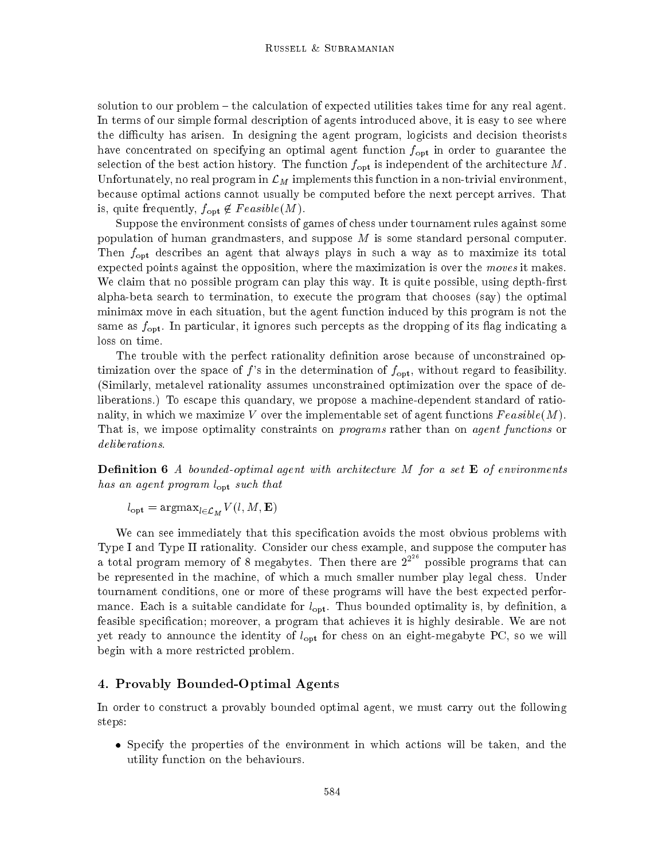solution to our problem – the calculation of expected utilities takes time for any real agent. In terms of our simple formal description of agents introduced above, it is easy to see where the difficulty has arisen. In designing the agent program, logicists and decision theorists have concentrated on specifying an optimal agent function  $f_{\text{opt}}$  in order to guarantee the selection of the best action history. The function  $f_{\text{opt}}$  is independent of the architecture M. Unfortunately, no real program in  $\mathcal{L}_M$  implements this function in a non-trivial environment, because optimal actions cannot usually be computed before the next percept arrives. That is, quite frequently,  $f_{\text{opt}} \notin Feasible(M)$ .

Suppose the environment consists of games of chess under tournament rules against some population of human grandmasters, and suppose  $M$  is some standard personal computer. Then  $f_{\text{opt}}$  describes an agent that always plays in such a way as to maximize its total expected points against the opposition, where the maximization is over the moves it makes. We claim that no possible program can play this way. It is quite possible, using depth-first alpha-beta search to termination, to execute the program that chooses (say) the optimal minimax move in each situation, but the agent function induced by this program is not the same as  $f_{\text{opt}}$ . In particular, it ignores such percepts as the dropping of its flag indicating a loss on time.

The trouble with the perfect rationality definition arose because of unconstrained optimization over the space of f's in the determination of  $f_{\text{opt}}$ , without regard to feasibility. (Similarly, metalevel rationality assumes unconstrained optimization over the space of deliberations.) To escape this quandary, we propose a machine-dependent standard of rationality, in which we maximize V over the implementable set of agent functions  $Feasible(M)$ . That is, we impose optimality constraints on *programs* rather than on *agent functions* or deliberations.

**Definition 6** A bounded-optimal agent with architecture M for a set  $\bf{E}$  of environments has an agent program  $l_{\text{opt}}$  such that

 $l_{\text{opt}} = \text{argmax}_{l \in \mathcal{L}_M} V(l, M, \mathbf{E})$ 

We can see immediately that this specification avoids the most obvious problems with Type I and Type II rationality. Consider our chess example, and suppose the computer has a total program memory of 8 megabytes. Then there are  $2^{2^{26}}$  possible programs that can be represented in the machine, of whichamuch smaller number play legal chess. Under tournament conditions, one or more of these programs will have the best expected performance. Each is a suitable candidate for  $l_{\text{opt}}$ . Thus bounded optimality is, by definition, a feasible specification; moreover, a program that achieves it is highly desirable. We are not yet ready to announce the identity of  $l_{\text{opt}}$  for chess on an eight-megabyte PC, so we will begin with a more restricted problem.

# 4. Provably Bounded-Optimal Agents

In order to construct a provably bounded optimal agent, we must carry out the following steps:

 $\bullet$  Specify the properties of the environment in which actions will be taken, and the utility function on the behaviours.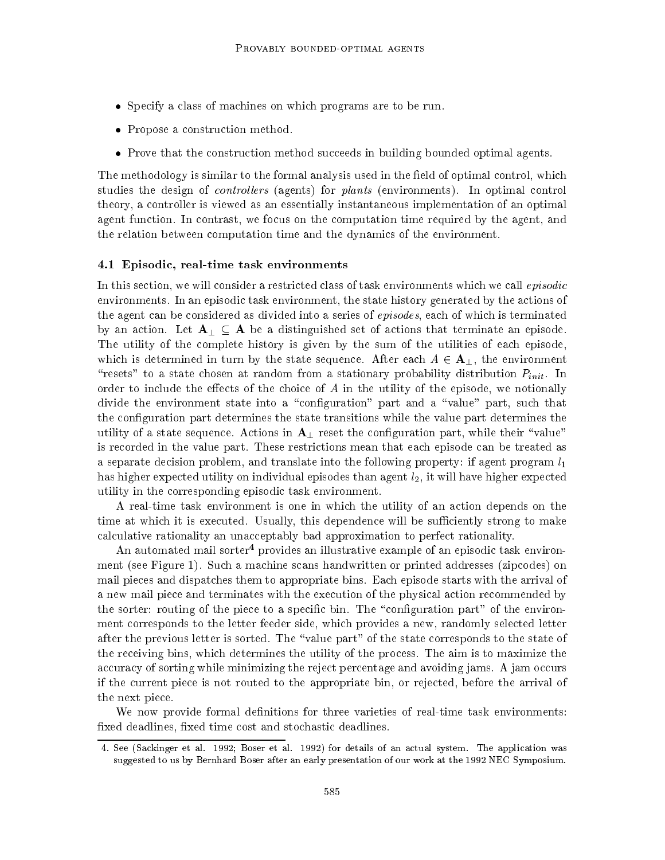- $\bullet$  Specify a class of machines on which programs are to be run.
- $\bullet\,$  Propose a construction method.  $\,$
- $\bullet$  -Prove that the construction method succeeds in building bounded optimal agents.

The methodology is similar to the formal analysis used in the field of optimal control, which studies the design of *controllers* (agents) for *plants* (environments). In optimal control theory, a controller is viewed as an essentially instantaneous implementation of an optimal agent function. In contrast, we focus on the computation time required by the agent, and the relation between computation time and the dynamics of the environment.

#### 4.1 Episodic, real-time task environments

In this section, we will consider a restricted class of task environments which we call  $epsilon$ environments. In an episodic task environment, the state history generated by the actions of the agent can be considered as divided into a series of *episodes*, each of which is terminated by an action. Let  $A_{\perp} \subseteq A$  be a distinguished set of actions that terminate an episode. The utility of the complete history is given by the sum of the utilities of each episode, which is determined in turn by the state sequence. After each  $A \in \mathbf{A}_{\perp}$ , the environment "resets" to a state chosen at random from a stationary probability distribution  $P_{init}$ . In order to include the effects of the choice of  $A$  in the utility of the episode, we notionally divide the environment state into a "configuration" part and a "value" part, such that the conguration part determines the state transitions while the value part determines the utility of a state sequence. Actions in  ${\bf A}_{\perp}$  reset the configuration part, while their "value" is recorded in the value part. These restrictions mean that each episode can be treated as a separate decision problem, and translate into the following property: if agent program  $l_1$ has higher expected utility on individual episodes than agent  $l_2$ , it will have higher expected utility in the corresponding episodic task environment.

A real-time task environment is one in which the utility of an action depends on the time at which it is executed. Usually, this dependence will be sufficiently strong to make calculative rationality an unacceptably bad approximation to perfect rationality.

An automated mail sorter<sup>4</sup> provides an illustrative example of an episodic task environment (see Figure 1). Such a machine scans handwritten or printed addresses (zipcodes) on mail pieces and dispatches them to appropriate bins. Each episode starts with the arrival of a new mail piece and terminates with the execution of the physical action recommended by the sorter: routing of the piece to a specific bin. The "configuration part" of the environment corresponds to the letter feeder side, which provides a new, randomly selected letter after the previous letter is sorted. The "value part" of the state corresponds to the state of the receiving bins, which determines the utility of the process. The aim is to maximize the accuracy of sorting while minimizing the reject percentage and avoiding jams. A jam occurs if the current piece is not routed to the appropriate bin, or rejected, before the arrival of the next piece.

We now provide formal definitions for three varieties of real-time task environments: fixed deadlines, fixed time cost and stochastic deadlines.

<sup>4.</sup> See (Sackinger et al. 1992; Boser et al. 1992) for details of an actual system. The application was suggested to us by Bernhard Boser after an early presentation of our work at the 1992 NEC Symposium.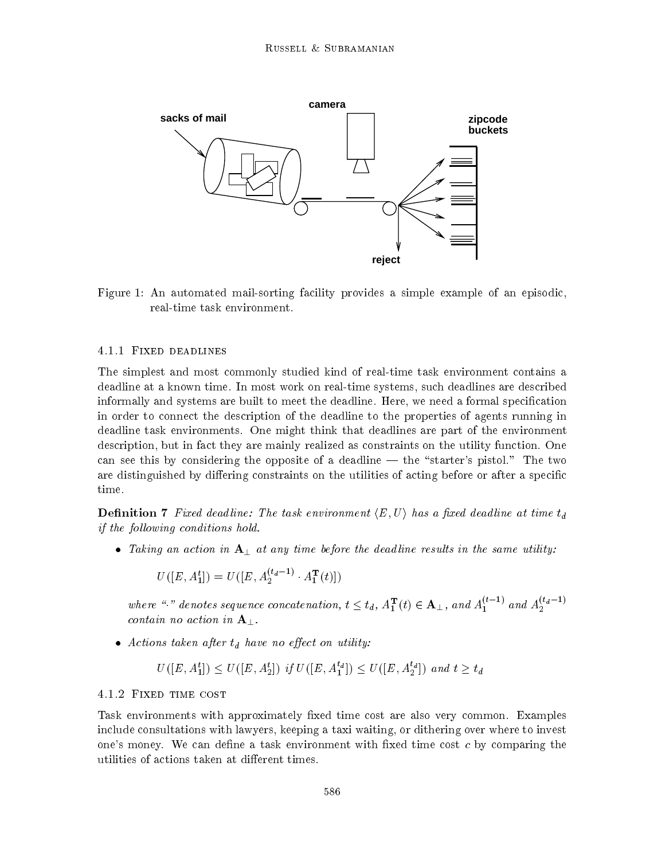

Figure 1: An automated mail-sorting facility provides a simple example of an episodic, real-time task environment.

#### 4.1.1 Fixed deadlines

The simplest and most commonly studied kind of real-time task environment contains a deadline at a known time. In most work on real-time systems, such deadlines are described informally and systems are built to meet the deadline. Here, we need a formal specication in order to connect the description of the deadline to the properties of agents running in deadline task environments. One might think that deadlines are part of the environment description, but in fact they are mainly realized as constraints on the utility function. One can see this by considering the opposite of a deadline  $-$  the "starter's pistol." The two are distinguished by differing constraints on the utilities of acting before or after a specific time.

**Definition 7** Fixed deadline: The task environment  $\langle E, U \rangle$  has a fixed deadline at time  $t_d$ if the following conditions hold.

 $\bullet$  Iaking an action in  ${\bf A}_{\perp}$  at any time before the deadline results in the same utility:

$$
U([E, A_1^t]) = U([E, A_2^{(t_d-1)} \cdot A_1^{\mathbf{T}}(t)])
$$

where "." denotes sequence concatenation,  $t \leq t_d$ ,  $A_1^1(t) \in \mathbf{A}_{\perp}$ , and  $A_1^{t-1}$  and  $A_2^{t-d-1}$ contain no action in  $A_{\perp}$ .

 $\bullet$  Actions taken after  $t_d$  have no effect on utility:

$$
U([E, A_1^t]) \leq U([E, A_2^t])
$$
 if  $U([E, A_1^{t_d}]) \leq U([E, A_2^{t_d}])$  and  $t \geq t_d$ 

#### 4.1.2 Fixed time cost

Task environments with approximately fixed time cost are also very common. Examples include consultations with lawyers, keeping a taxi waiting, or dithering over where to invest one's money. We can define a task environment with fixed time cost  $c$  by comparing the utilities of actions taken at different times.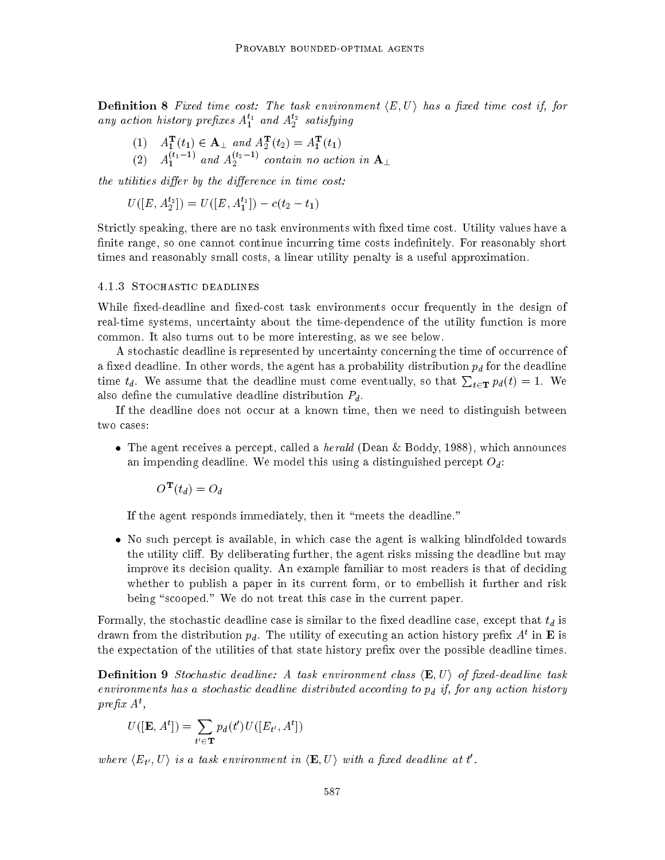**Definition 8** Fixed time cost: The task environment  $\langle E, U \rangle$  has a fixed time cost if, for any action history prefixes  $A_1^{t_1}$  and  $A_2^{t_2}$  satisfying

 $(1)$   $A_1^{\perp}(t_1) \in \mathbf{A}_{\perp}$  and  $A_2^{\perp}(t_2) = A_1^{\perp}(t_1)$  $(2)$   $A_1^{(1)}$   $\rightarrow$  and  $A_2^{(2)}$   $\rightarrow$  contain no action in  ${\bf A}_{\perp}$ 

the utilities differ by the difference in time  $cost:$ 

 $U([E, A_2^{t_2}]) = U([E, A_1^{t_1}]) - c(t_2 - t_1)$ 

Strictly speaking, there are no task environments with fixed time cost. Utility values have a finite range, so one cannot continue incurring time costs indefinitely. For reasonably short times and reasonably small costs, a linear utility penalty is a useful approximation.

#### 4.1.3 Stochastic deadlines

While fixed-deadline and fixed-cost task environments occur frequently in the design of real-time systems, uncertainty about the time-dependence of the utility function is more common. It also turns out to be more interesting, as we see below.

A stochastic deadline is represented by uncertainty concerning the time of occurrence of a fixed deadline. In other words, the agent has a probability distribution  $p_d$  for the deadline time  $t_d$ . We assume that the deadline must come eventually, so that  $\sum_{t\in\mathbf{T}} p_d(t) = 1$ . We also define the cumulative deadline distribution  $P_d$ .

If the deadline does not occur at a known time, then we need to distinguish between two cases:

 $\bullet$  The agent receives a percept, called a  $\emph{herau}$  (Dean  $\propto$  Boddy, 1988), which announces an impending deadline. We model this using a distinguished percept  $O_d$ :

 $\boldsymbol{O}^-(t_d) = \boldsymbol{O}_d$ 

If the agent responds immediately, then it "meets the deadline."

 $\bullet$  To such percept is available, in which case the agent is walking blindfolded towards the utility cliff. By deliberating further, the agent risks missing the deadline but may improve its decision quality. An example familiar to most readers is that of deciding whether to publish a paper in its current form, or to embellish it further and risk being "scooped." We do not treat this case in the current paper.

Formally, the stochastic deadline case is similar to the fixed deadline case, except that  $t_d$  is drawn from the distribution  $p_d$ . The utility of executing an action history prefix  $A^*$  in  $\bf{E}$  is the expectation of the utilities of that state history prefix over the possible deadline times.

**Definition 9** Stochastic deadline: A task environment class  $\langle \mathbf{E}, U \rangle$  of fixed-deadline task environments has a stochastic deadline distributed according to  $p_d$  if, for any action history prefix  $A^t$ ,

$$
U([\mathbf{E}, A^t]) = \sum_{t' \in \mathbf{T}} p_d(t') U([E_{t'}, A^t])
$$

where  $\langle E_{t'}, U \rangle$  is a task environment in  $\langle \mathbf{E}, U \rangle$  with a fixed deadline at t'.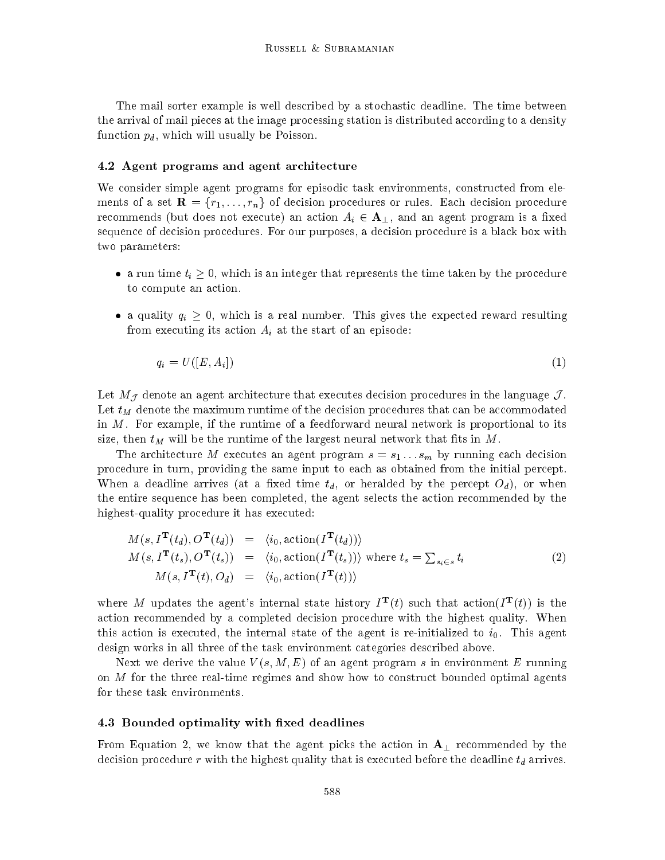The mail sorter example is well described by a stochastic deadline. The time between the arrival of mail pieces at the image processing station is distributed according to a density function  $p_d$ , which will usually be Poisson.

#### 4.2 Agent programs and agent architecture

We consider simple agent programs for episodic task environments, constructed from elements of a set  $\mathbf{R} = \{r_1, \ldots, r_n\}$  of decision procedures or rules. Each decision procedure recommends (but does not execute) an action  $A_i \in \mathbf{A}_{\perp}$ , and an agent program is a fixed sequence of decision procedures. For our purposes, a decision procedure is a black box with two parameters:

- a run time  $t_i \geq 0$ , which is an integer that represents the time taken by the procedure to compute an action.
- a quality  $q_i \geq 0$ , which is a real number. This gives the expected reward resulting from executing its action  $A_i$  at the start of an episode:

$$
q_i = U([E, A_i]) \tag{1}
$$

Let  $M_{\mathcal{J}}$  denote an agent architecture that executes decision procedures in the language  $\mathcal{J}$ . Let  $t_M$  denote the maximum runtime of the decision procedures that can be accommodated in M. For example, if the runtime of a feedforward neural network is proportional to its size, then  $t_M$  will be the runtime of the largest neural network that fits in M.

The architecture M executes an agent program  $s = s_1 \dots s_m$  by running each decision procedure in turn, providing the same input to each as obtained from the initial percept. When a deadline arrives (at a fixed time  $t_d$ , or heralded by the percept  $O_d$ ), or when the entire sequence has been completed, the agent selects the action recommended by the highest-quality procedure it has executed:

$$
M(s, IT(td), OT(td)) = \langle i_0, \text{action}(IT(td)) \rangle
$$
  
\n
$$
M(s, IT(ts), OT(ts)) = \langle i_0, \text{action}(IT(ts)) \rangle \text{ where } t_s = \sum_{s_i \in s} t_i
$$
  
\n
$$
M(s, IT(t), Od) = \langle i_0, \text{action}(IT(t)) \rangle
$$
\n(2)

where M updates the agent's internal state history  $I^{\mathbf{r}}(t)$  such that action( $I^{\mathbf{r}}(t)$ ) is the action recommended by a completed decision procedure with the highest quality. When this action is executed, the internal state of the agent is re-initialized to  $i_0$ . This agent design works in all three of the task environment categories described above.

Next we derive the value  $V(s, M, E)$  of an agent program s in environment E running on M for the three real-time regimes and show how to construct bounded optimal agents for these task environments.

### 4.3 Bounded optimality with fixed deadlines

From Equation 2, we know that the agent picks the action in  $\mathbf{A}_{\perp}$  recommended by the decision procedure  $r$  with the highest quality that is executed before the deadline  $t_d$  arrives.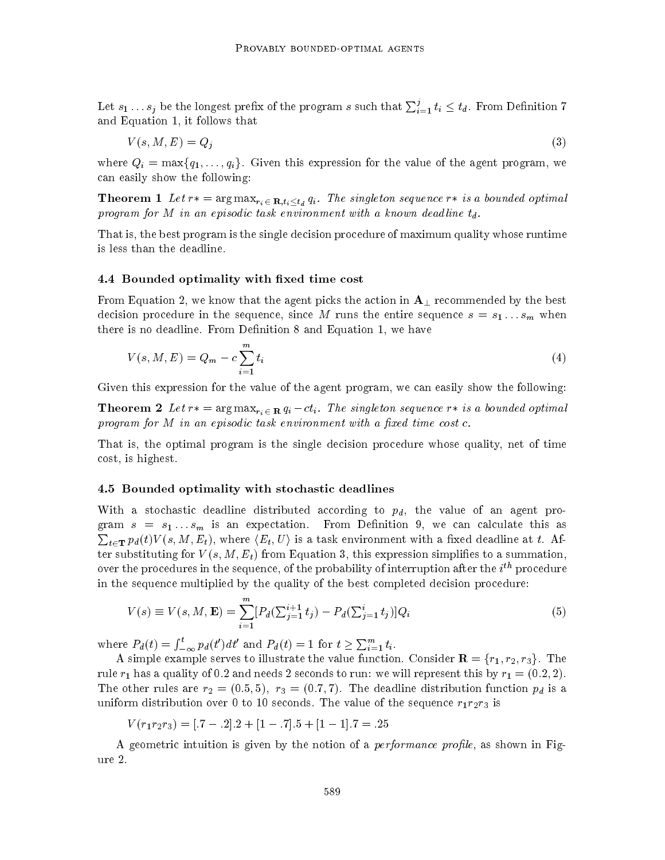Let  $s_1 \dots s_j$  be the longest prefix of the program  $s$  such that  $\sum_{i=1}^J t_i \leq t_d$ . From Definition  $7$ and Equation 1, it follows that

$$
V(s, M, E) = Q_j \tag{3}
$$

where  $Q_i = \max\{q_1,\ldots,q_i\}$ . Given this expression for the value of the agent program, we can easily show the following:

**Theorem 1** Let  $r* = \arg \max_{r_i \in \mathbf{R}, t_i \leq t_d} q_i$ . The singleton sequence  $r*$  is a bounded optimal program for M in an episodic task environment with a known deadline  $t_d$ .

That is, the best program is the single decision procedure of maximum quality whose runtime is less than the deadline.

#### 4.4 Bounded optimality with fixed time cost

From Equation 2, we know that the agent picks the action in  $A_{\perp}$  recommended by the best decision procedure in the sequence, since M runs the entire sequence  $s = s_1 \dots s_m$  when there is no deadline. From Definition 8 and Equation 1, we have

$$
V(s, M, E) = Q_m - c \sum_{i=1}^{m} t_i
$$
\n(4)

Given this expression for the value of the agent program, we can easily show the following:

**Theorem 2** Let  $r* = \arg \max_{r_i \in \mathbf{R}} q_i - ct_i$ . The singleton sequence  $r*$  is a bounded optimal program for  $M$  in an episodic task environment with a fixed time cost  $c$ .

That is, the optimal program is the single decision procedure whose quality, net of time cost, is highest.

### 4.5 Bounded optimality with stochastic deadlines

With a stochastic deadline distributed according to  $p_d$ , the value of an agent program  $s = s_1...s_m$  is an expectation. From Definition 9, we can calculate this as  $\sum_{t\in\mathbf{T}}p_d(t)V(s,M,E_t),$  where  $\langle E_t,U\rangle$  is a task environment with a fixed deadline at  $t.$  After substituting for  $V(s, M, E_t)$  from Equation 3, this expression simplifies to a summation, over the procedures in the sequence, of the probability of interruption after the  $i^{\cdots}$  procedure in the sequence multiplied by the quality of the best completed decision procedure:

$$
V(s) \equiv V(s, M, \mathbf{E}) = \sum_{i=1}^{m} [P_d(\sum_{j=1}^{i+1} t_j) - P_d(\sum_{j=1}^{i} t_j)]Q_i
$$
(5)

where  $P_d(t) = \int_{-\infty}^t p_d(t')dt'$  and  $P_d(t) = 1$  for  $t \ge \sum_{i=1}^m t_i$ .

A simple example serves to illustrate the value function. Consider  $\mathbf{R} = \{r_1, r_2, r_3\}$ . The rule  $r_1$  has a quality of 0.2 and needs 2 seconds to run: we will represent this by  $r_1 = (0.2, 2)$ . The other rules are  $r_2 = (0.5, 5), r_3 = (0.7, 7).$  The deadline distribution function  $p_d$  is a uniform distribution over 0 to 10 seconds. The value of the sequence  $r_1r_2r_3$  is

 $V(r_1r_2r_3)=[.7 - .2].2 + [1 - .7].5 + [1 - 1].7 = .25$ 

A geometric intuition is given by the notion of a *performance profile*, as shown in Figure 2.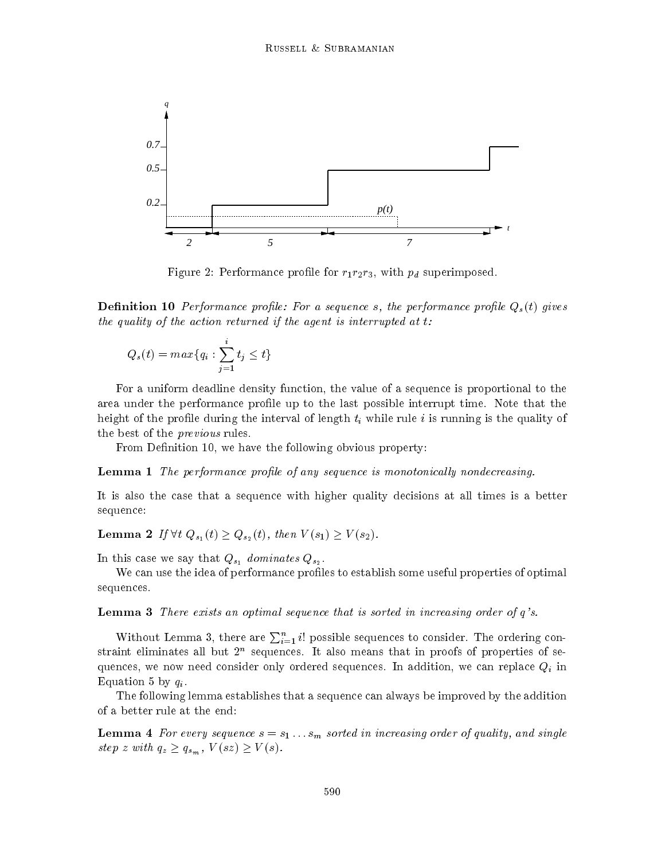

Figure 2: Performance profile for  $r_1r_2r_3$ , with  $p_d$  superimposed.

**Definition 10** Performance profile: For a sequence s, the performance profile  $Q_s(t)$  gives the quality of the action returned if the agent is interrupted at  $t$ :

$$
Q_s(t) = max\{q_i : \sum_{j=1}^i t_j \le t\}
$$

For a uniform deadline density function, the value of a sequence is proportional to the area under the performance prole up to the last possible interrupt time. Note that the height of the profile during the interval of length  $t_i$  while rule i is running is the quality of the best of the *previous* rules.

From Definition 10, we have the following obvious property:

**Lemma 1** The performance profile of any sequence is monotonically nondecreasing.

It is also the case that a sequence with higher quality decisions at all times is a better sequence:

**Lemma 2** If  $\forall t \ Q_{s_1} (t) \geq Q_{s_2} (t)$ , then  $V(s_1) \geq V(s_2)$ .

In this case we say that  $\mathbb{V}\circ 1$  does not the same  $\mathbb{V}\circ 2$  .

We can use the idea of performance profiles to establish some useful properties of optimal sequences.

Lemma 3 There exists an optimal sequence that is sorted in increasing order of q's.

Without Lemma 3, there are  $\sum_{i=1}^{n} i!$  possible sequences to consider. The ordering con- $\operatorname{strain}$  eliminates all but  $2^+$  sequences. It also means that in proofs of properties of sequences, we now need consider only ordered sequences. In addition, we can replace  $Q_i$  in Equation 5 by  $q_i$ .

The following lemma establishes that a sequence can always be improved by the addition of a better rule at the end:

**Lemma 4** For every sequence  $s = s_1 \ldots s_m$  sorted in increasing order of quality, and single step z with  $q_z \geq q_{s_m}$ ,  $V(sz) \geq V(s)$ .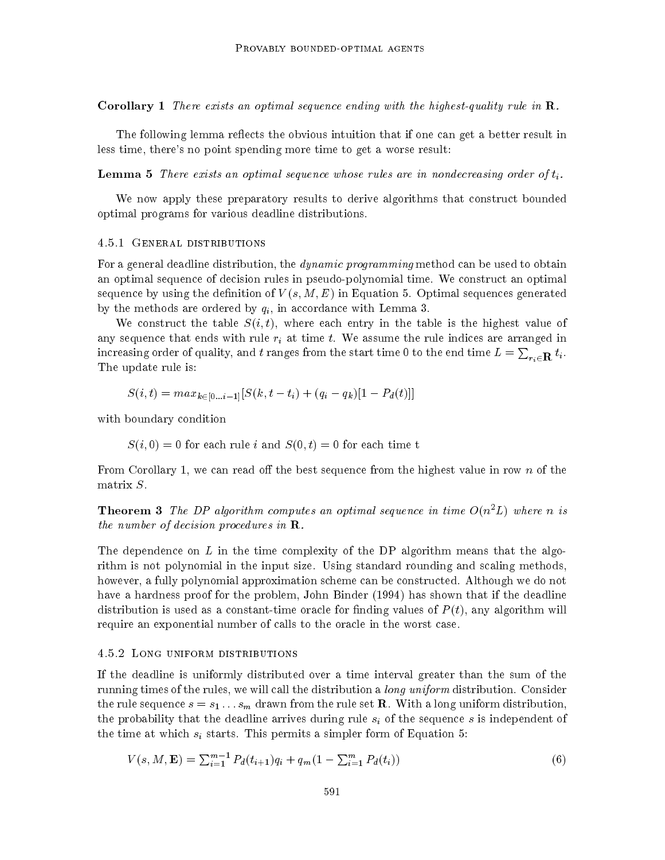**Corollary 1** There exists an optimal sequence ending with the highest-quality rule in  $\mathbf{R}$ .

The following lemma reflects the obvious intuition that if one can get a better result in less time, there's no point spending more time to get a worse result:

**Lemma 5** There exists an optimal sequence whose rules are in nondecreasing order of  $t_i$ .

We now apply these preparatory results to derive algorithms that construct bounded optimal programs for various deadline distributions.

#### 4.5.1 General distributions

For a general deadline distribution, the *dynamic programming* method can be used to obtain an optimal sequence of decision rules in pseudo-polynomial time. We construct an optimal sequence by using the definition of  $V(s, M, E)$  in Equation 5. Optimal sequences generated by the methods are ordered by  $q_i$ , in accordance with Lemma 3.

We construct the table  $S(i, t)$ , where each entry in the table is the highest value of any sequence that ends with rule  $r_i$  at time  $t$ . We assume the rule indices are arranged in increasing order of quality, and  $t$  ranges from the start time 0 to the end time  $L=\sum_{r_i\in{\bf R}}t_i.$ The update rule is:

$$
S(i,t) = max_{k \in [0...i-1]}[S(k, t - t_i) + (q_i - q_k)[1 - P_d(t)]]
$$

with boundary condition

$$
S(i, 0) = 0
$$
 for each rule *i* and  $S(0, t) = 0$  for each time t

From Corollary 1, we can read off the best sequence from the highest value in row n of the matrix S.

**Theorem 3** The DP algorithm computes an optimal sequence in time  $O(n^2L)$  where n is the number of decision procedures in **.** 

The dependence on  $L$  in the time complexity of the DP algorithm means that the algorithm is not polynomial in the input size. Using standard rounding and scaling methods, however, a fully polynomial approximation scheme can be constructed. Although we do not have a hardness proof for the problem, John Binder (1994) has shown that if the deadline distribution is used as a constant-time oracle for finding values of  $P(t)$ , any algorithm will require an exponential number of calls to the oracle in the worst case.

#### 4.5.2 Long uniform distributions

If the deadline is uniformly distributed over a time interval greater than the sum of the running times of the rules, we will call the distribution a *long uniform* distribution. Consider the rule sequence  $s = s_1 \ldots s_m$  drawn from the rule set **R**. With a long uniform distribution, the probability that the deadline arrives during rule  $s_i$  of the sequence s is independent of the time at which  $s_i$  starts. This permits a simpler form of Equation 5:

$$
V(s, M, \mathbf{E}) = \sum_{i=1}^{m-1} P_d(t_{i+1}) q_i + q_m (1 - \sum_{i=1}^{m} P_d(t_i))
$$
\n(6)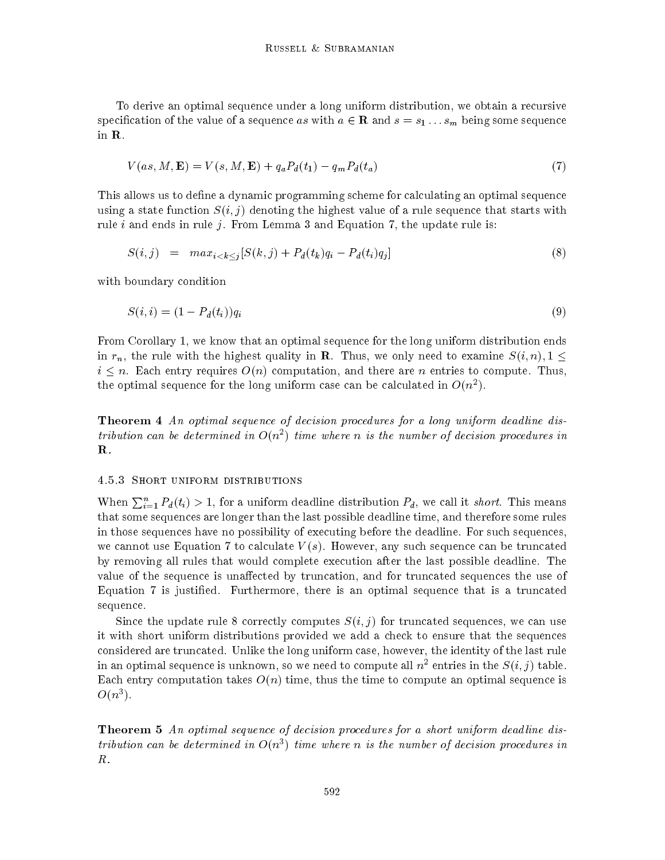To derive an optimal sequence under a long uniform distribution, we obtain a recursive specification of the value of a sequence as with  $a \in \mathbf{R}$  and  $s = s_1 \dots s_m$  being some sequence in R.

$$
V(as, M, \mathbf{E}) = V(s, M, \mathbf{E}) + q_a P_d(t_1) - q_m P_d(t_a)
$$
\n
$$
(7)
$$

This allows us to define a dynamic programming scheme for calculating an optimal sequence using a state function  $S(i, j)$  denoting the highest value of a rule sequence that starts with rule i and ends in rule j. From Lemma 3 and Equation 7, the update rule is:

$$
S(i,j) = max_{i < k < j} [S(k,j) + P_d(t_k)q_i - P_d(t_i)q_j] \tag{8}
$$

with boundary condition

$$
S(i,i) = (1 - P_d(t_i))q_i \tag{9}
$$

From Corollary 1, we know that an optimal sequence for the long uniform distribution ends in  $r_n$ , the rule with the highest quality in **R**. Thus, we only need to examine  $S(i, n), 1 \leq$  $i \leq n$ . Each entry requires  $O(n)$  computation, and there are n entries to compute. Thus, the optimal sequence for the long uniform case can be calculated in  $O(n_z)$ .

**Theorem 4** An optimal sequence of decision procedures for a long uniform deadline dis $t$ ribution can be determined in  $O(n+1)$  time where  $n$  is the number of decision procedures in  $\alpha$  $\mathbf{R}$ .

#### 4.5.3 Short uniform distributions

When  $\sum_{i=1}^n P_d(t_i) > 1$ , for a uniform deadline distribution  $P_d$ , we call it *short*. This means that some sequences are longer than the last possible deadline time, and therefore some rules in those sequences have no possibility of executing before the deadline. For such sequences, we cannot use Equation 7 to calculate  $V(s)$ . However, any such sequence can be truncated by removing all rules that would complete execution after the last possible deadline. The value of the sequence is unaffected by truncation, and for truncated sequences the use of Equation 7 is justied. Furthermore, there is an optimal sequence that is a truncated sequence.

Since the update rule 8 correctly computes  $S(i, j)$  for truncated sequences, we can use it with short uniform distributions provided we add a check to ensure that the sequences considered are truncated. Unlike the long uniform case, however, the identity of the last rule in an optimal sequence is unknown, so we need to compute all  $n^2$  entries in the  $S(i, j)$  table. Each entry computation takes  $O(n)$  time, thus the time to compute an optimal sequence is  $\mathcal{O}(n^{\epsilon}).$ 

**Theorem 5** An optimal sequence of decision procedures for a short uniform deadline dis $t$ ribution can be determined in  $O(n^*)$  time where  $n$  is the number of decision procedures in  $\ell$ R.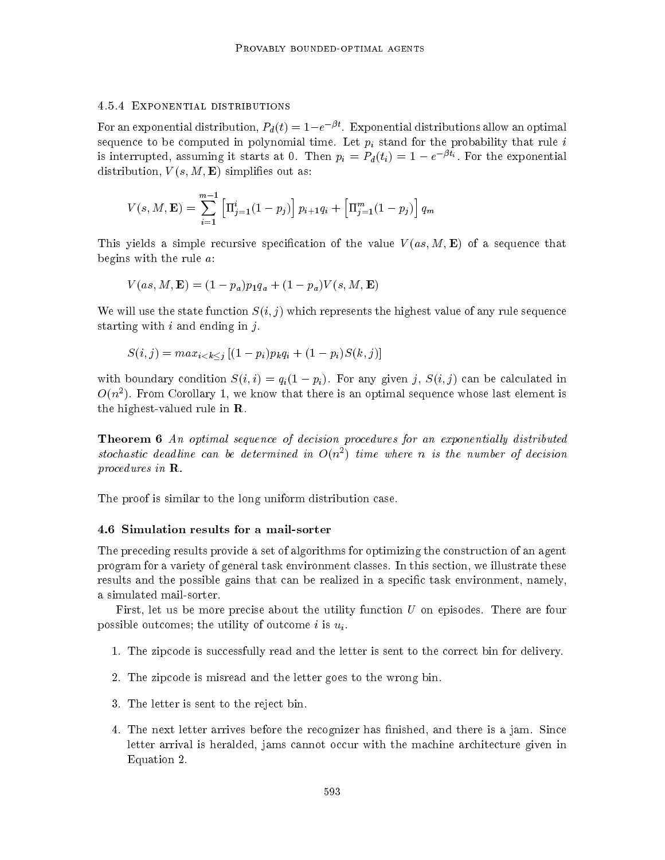#### 4.5.4 Exponential distributions

For an exponential distribution,  $P_d(t) = 1-e^{-\beta t}$ . Exponential distributions allow an optimal sequence to be computed in polynomial time. Let  $p_i$  stand for the probability that rule i is interrupted, assuming it starts at 0. Then  $p_i = P_d(t_i) = 1 - e^{-\beta t_i}$ . For the exponential distribution,  $V(s, M, \mathbf{E})$  simplifies out as:

$$
V(s, M, \mathbf{E}) = \sum_{i=1}^{m-1} \left[ \Pi_{j=1}^{i} (1 - p_j) \right] p_{i+1} q_i + \left[ \Pi_{j=1}^{m} (1 - p_j) \right] q_m
$$

This yields a simple recursive specification of the value  $V(as, M, E)$  of a sequence that begins with the rule a:

$$
V(as, M, \mathbf{E}) = (1 - p_a)p_1q_a + (1 - p_a)V(s, M, \mathbf{E})
$$

We will use the state function  $S(i, j)$  which represents the highest value of any rule sequence starting with  $i$  and ending in  $j$ .

$$
S(i, j) = max_{i < k < j} \left[ (1 - p_i) p_k q_i + (1 - p_i) S(k, j) \right]
$$

with boundary condition  $S(i, i) = q_i(1 - p_i)$ . For any given j,  $S(i, j)$  can be calculated in  $O(n$  ). From Corollary 1, we know that there is an optimal sequence whose last element is the highest-valued rule in R.

**Theorem 6** An optimal sequence of decision procedures for an exponentially distributed  $s$ tochastic aeaaune can be aetermined in  $O(n+1)$  time where n is the number of aecision  $\overline{\phantom{a}}$ procedures in R.

The proof is similar to the long uniform distribution case.

#### 4.6 Simulation results for a mail-sorter

The preceding results provide a set of algorithms for optimizing the construction of an agent program for a variety of general task environment classes. In this section, we illustrate these results and the possible gains that can be realized in a specic task environment, namely, a simulated mail-sorter.

First, let us be more precise about the utility function  $U$  on episodes. There are four possible outcomes; the utility of outcome i is  $u_i$ .

- 1. The zipcode is successfully read and the letter is sent to the correct bin for delivery.
- 2. The zipcode is misread and the letter goes to the wrong bin.
- 3. The letter is sent to the reject bin.
- 4. The next letter arrives before the recognizer has finished, and there is a jam. Since letter arrival is heralded, jams cannot occur with the machine architecture given in Equation 2.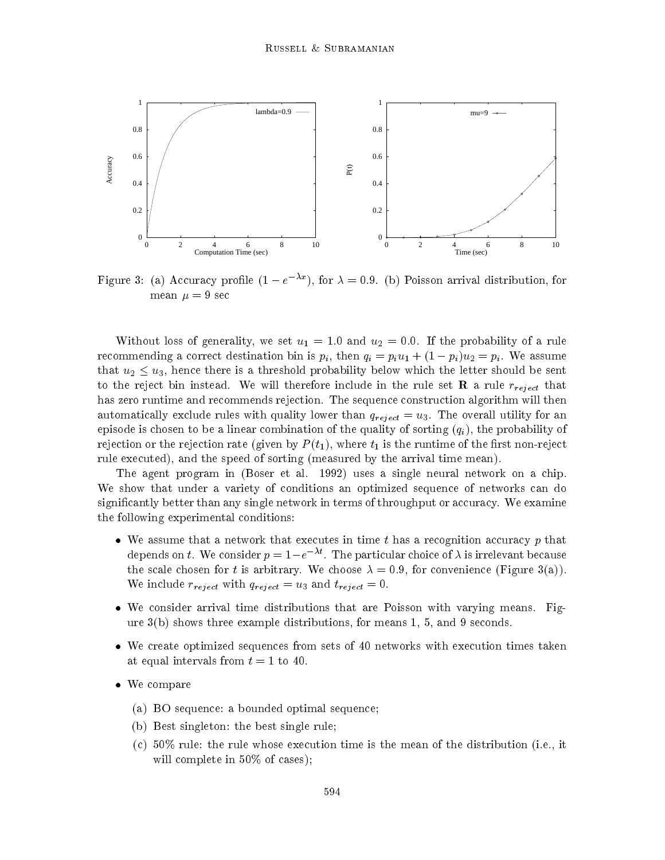

Figure 3: (a) Accuracy profile  $(1-e^{-\lambda x})$ , for  $\lambda = 0.9$ . (b) Poisson arrival distribution, for mean  $\mu = 9$  sec

Without loss of generality, we set  $u_1 = 1.0$  and  $u_2 = 0.0$ . If the probability of a rule recommending a correct destination bin is  $p_i$ , then  $q_i = p_i u_1 + (1 - p_i) u_2 = p_i$ . We assume that  $u_2 \leq u_3$ , hence there is a threshold probability below which the letter should be sent to the reject bin instead. We will therefore include in the rule set **R** a rule  $r_{reject}$  that has zero runtime and recommends rejection. The sequence construction algorithm will then automatically exclude rules with quality lower than  $q_{reject} = u_3$ . The overall utility for an episode is chosen to be a linear combination of the quality of sorting  $(q_i)$ , the probability of rejection or the rejection rate (given by  $P(t_1)$ , where  $t_1$  is the runtime of the first non-reject rule executed), and the speed of sorting (measured by the arrival time mean).

The agent program in (Boser et al. 1992) uses a single neural network on a chip. We show that under a variety of conditions an optimized sequence of networks can do signicantly better than any single network in terms of throughput or accuracy. We examine the following experimental conditions:

- $\bullet$  We assume that a network that executes in time t has a recognition accuracy  $p$  that depends on t. We consider  $p = 1-e^{-\lambda t}$ . The particular choice of  $\lambda$  is irrelevant because the scale chosen for t is arbitrary. We choose  $\lambda = 0.9$ , for convenience (Figure 3(a)). We include  $r_{reject}$  with  $q_{reject} = u_3$  and  $t_{reject} = 0$ .
- We consider arrival time distributions that are Poisson with varying means. Figure 3(b) shows three example distributions, for means 1, 5, and 9 seconds.
- We create optimized sequences from sets of 40 networks with execution times taken at equal intervals from  $t = 1$  to 40.
- We compare
	- (a) BO sequence: a bounded optimal sequence;
	- (b) Best singleton: the best single rule;
	- (c) 50% rule: the rule whose execution time is the mean of the distribution (i.e., it will complete in 50% of cases);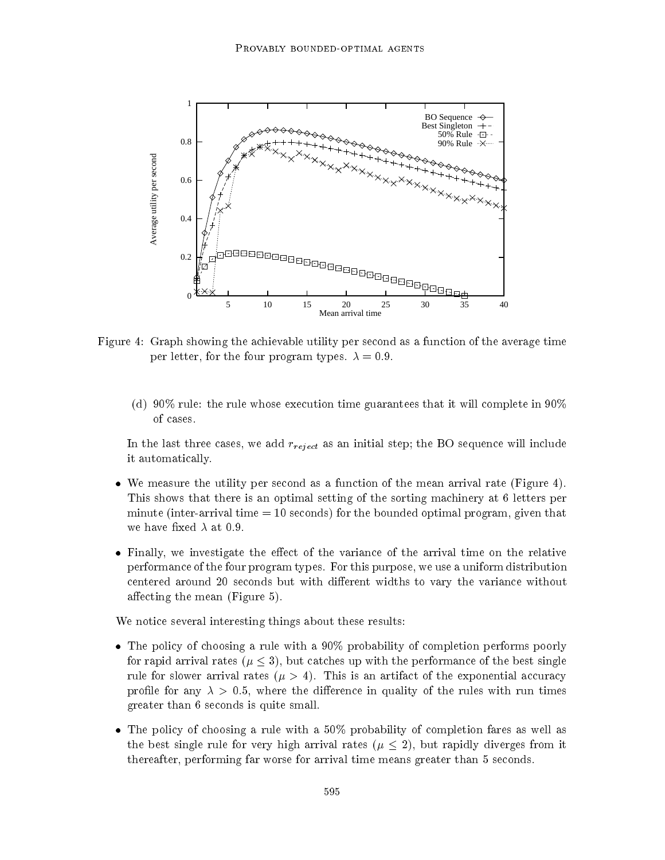

Figure 4: Graph showing the achievable utility per second as a function of the average time per letter, for the four program types.  $\lambda = 0.9$ .

(d) 90% rule: the rule whose execution time guarantees that it will complete in 90% of cases.

In the last three cases, we add  $r_{reject}$  as an initial step; the BO sequence will include it automatically.

- $\bullet$  We measure the utility per second as a function of the mean arrival rate (Figure 4). This shows that there is an optimal setting of the sorting machinery at 6 letters per minute (inter-arrival time  $= 10$  seconds) for the bounded optimal program, given that we have fixed  $\lambda$  at 0.9.
- $\bullet$  Finally, we investigate the effect of the variance of the arrival time on the relative performance of the four program types. For this purpose, we use a uniform distribution centered around 20 seconds but with different widths to vary the variance without affecting the mean (Figure  $5$ ).

We notice several interesting things about these results:

- $\bullet$  The policy of choosing a rule with a 90% probability of completion performs poorly for rapid arrival rates ( $\mu \leq 3$ ), but catches up with the performance of the best single rule for slower arrival rates ( $\mu > 4$ ). This is an artifact of the exponential accuracy profile for any  $\lambda > 0.5$ , where the difference in quality of the rules with run times greater than 6 seconds is quite small.
- $\bullet$  The policy of choosing a rule with a 50% probability of completion fares as well as the best single rule for very high arrival rates ( $\mu \leq 2$ ), but rapidly diverges from it thereafter, performing far worse for arrival time means greater than 5 seconds.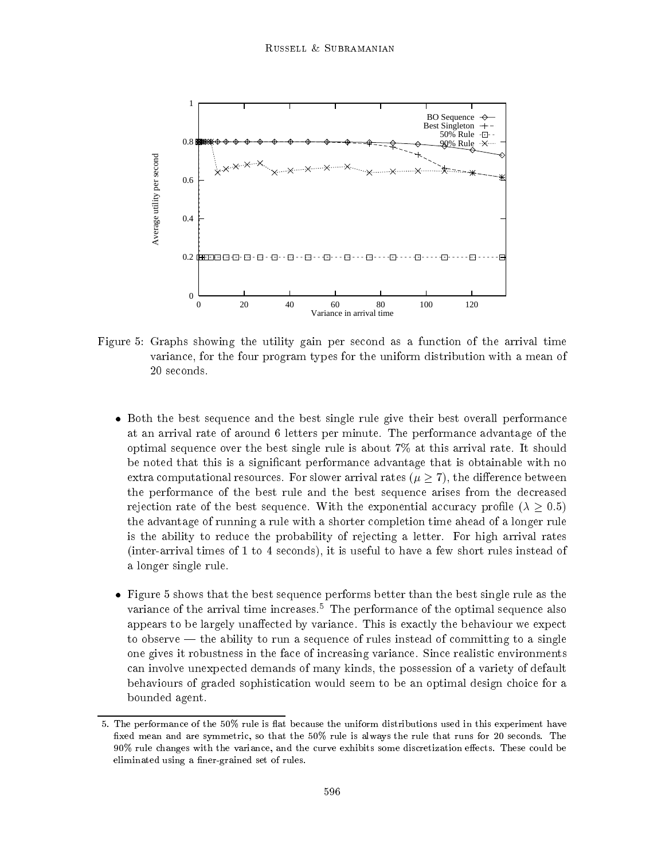

Figure 5: Graphs showing the utility gain per second as a function of the arrival time variance, for the four program types for the uniform distribution with a mean of 20 seconds.

- $\bullet$  Both the best sequence and the best single rule give their best overall performance at an arrival rate of around 6 letters per minute. The performance advantage of the optimal sequence over the best single rule is about 7% at this arrival rate. It should be noted that this is a signicant performance advantage that is obtainable with no extra computational resources. For slower arrival rates ( $\mu \geq 7$ ), the difference between the performance of the best rule and the best sequence arises from the decreased rejection rate of the best sequence. With the exponential accuracy profile ( $\lambda > 0.5$ ) the advantage of running a rule with a shorter completion time ahead of a longer rule is the ability to reduce the probability of rejecting a letter. For high arrival rates (inter-arrival times of 1 to 4 seconds), it is useful to have a few short rules instead of a longer single rule.
- $\bullet$  Figure 5 shows that the best sequence performs better than the best single rule as the variance of the arrival time increases.<sup>5</sup> The performance of the optimal sequence also appears to be largely unaffected by variance. This is exactly the behaviour we expect to observe  $-$  the ability to run a sequence of rules instead of committing to a single one gives it robustness in the face of increasing variance. Since realistic environments can involve unexpected demands of many kinds, the possession of a variety of default behaviours of graded sophistication would seem to be an optimal design choice for a bounded agent.

<sup>5.</sup> The performance of the 50% rule is flat because the uniform distributions used in this experiment have fixed mean and are symmetric, so that the 50% rule is always the rule that runs for 20 seconds. The 90% rule changes with the variance, and the curve exhibits some discretization effects. These could be eliminated using a finer-grained set of rules.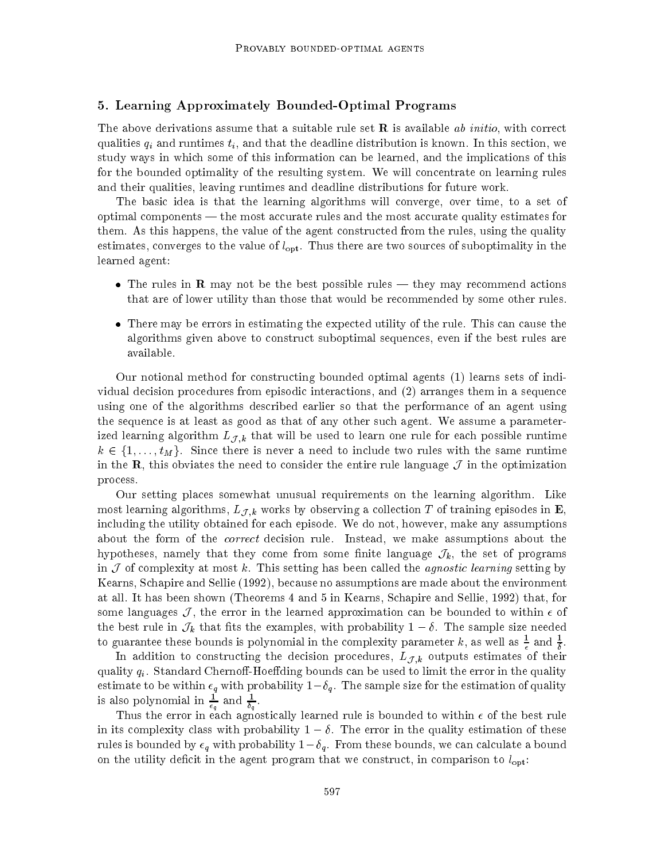### 5. Learning Approximately Bounded-Optimal Programs

The above derivations assume that a suitable rule set  **is available ab initio, with correct** qualities  $q_i$  and runtimes  $t_i$ , and that the deadline distribution is known. In this section, we study ways in which some of this information can be learned, and the implications of this for the bounded optimality of the resulting system. We will concentrate on learning rules and their qualities, leaving runtimes and deadline distributions for future work.

The basic idea is that the learning algorithms will converge, over time, to a set of optimal components | the most accurate rules and the most accurate quality estimates for them. As this happens, the value of the agent constructed from the rules, using the quality estimates, converges to the value of  $l_{\text{opt}}$ . Thus there are two sources of suboptimality in the learned agent:

- $\bullet$  lne rules in  ${\bf R}$  may not be the best possible rules they may recommend actions that are of lower utility than those that would be recommended by some other rules.
- $\bullet$  There may be errors in estimating the expected utility of the rule. This can cause the algorithms given above to construct suboptimal sequences, even if the best rules are available.

Our notional method for constructing bounded optimal agents (1) learns sets of individual decision procedures from episodic interactions, and (2) arranges them in a sequence using one of the algorithms described earlier so that the performance of an agent using the sequence is at least as good as that of any other such agent. We assume a parameterized learning algorithm  $L_{\mathcal{J},k}$  that will be used to learn one rule for each possible runtime  $k \in \{1,\ldots,t_M\}$ . Since there is never a need to include two rules with the same runtime in the R, this obviates the need to consider the entire rule language  $J$  in the optimization process.

Our setting places somewhat unusual requirements on the learning algorithm. Like most learning algorithms,  $L_{\mathcal{J},k}$  works by observing a collection T of training episodes in  $\mathbf{E}$ , including the utility obtained for each episode. We do not, however, make any assumptions about the form of the correct decision rule. Instead, we make assumptions about the hypotheses, namely that they come from some finite language  $\mathcal{J}_k$ , the set of programs in  $\cal J$  of complexity at most k. This setting has been called the *agnostic learning* setting by Kearns, Schapire and Sellie (1992), because no assumptions are made about the environment at all. It has been shown (Theorems 4 and 5 in Kearns, Schapire and Sellie, 1992) that, for some languages  $\mathcal{J}$ , the error in the learned approximation can be bounded to within  $\epsilon$  of the best rule in  $\mathcal{J}_k$  that fits the examples, with probability  $1-\delta$ . The sample size needed to guarantee these bounds is polynomial in the complexity parameter  $\kappa$ , as well as  $\frac{1}{\epsilon}$  and  $\frac{1}{\delta}$ .

In addition to constructing the decision procedures,  $L_{\mathcal{J},k}$  outputs estimates of their quality  $q_i$ . Standard Chernoff-Hoeffding bounds can be used to limit the error in the quality estimate to be within  $\epsilon_q$  with probability  $1-\delta_q$ . The sample size for the estimation of quality is also polynomial in  $\frac{1}{\epsilon_q}$  and  $\frac{1}{\delta_q}$ .

 $-$ u $-$ 

Thus the error in each agnostically learned rule is bounded to within of the best rule in its complexity class with probability  $1 - \delta$ . The error in the quality estimation of these rules is bounded by  $\epsilon_q$  with probability  $1-\delta_q$ . From these bounds, we can calculate a bound on the utility deficit in the agent program that we construct, in comparison to  $l_{\text{opt}}$ :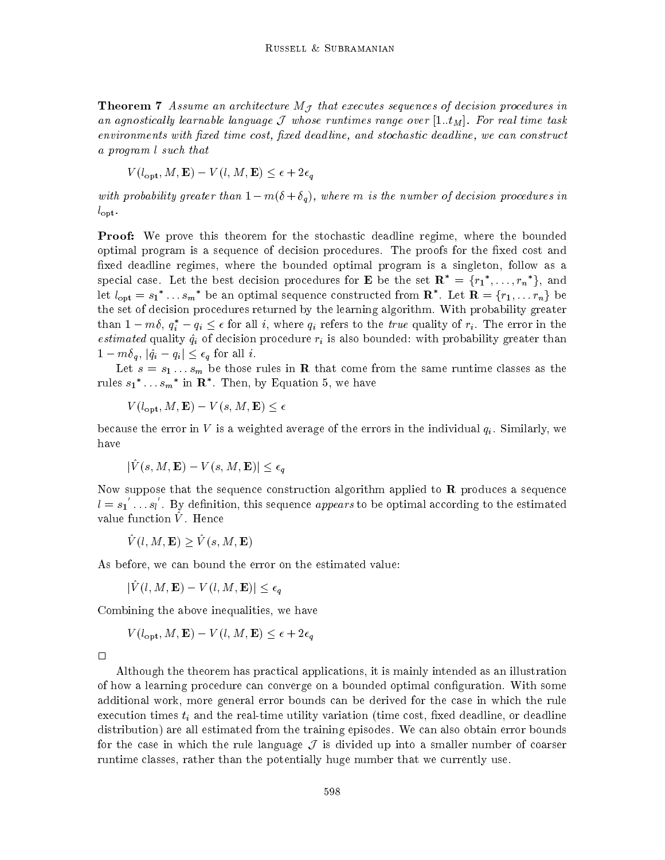**Theorem 7** Assume an architecture  $M<sub>J</sub>$  that executes sequences of decision procedures in an agnostically learnable language  $\mathcal J$  whose runtimes range over  $[1..t_M]$ . For real time task environments with fixed time cost, fixed deadline, and stochastic deadline, we can construct a program l such that

 $V(l_{\text{opt}}, M, \mathbf{E}) - V(l, M, \mathbf{E}) \leq \epsilon + 2\epsilon_{q}$ 

with probability greater than  $1 - m(\delta + \delta_q)$ , where m is the number of decision procedures in  $l_{\text{opt}}$ .

**Proof:** We prove this theorem for the stochastic deadline regime, where the bounded optimal program is a sequence of decision procedures. The proofs for the fixed cost and fixed deadline regimes, where the bounded optimal program is a singleton, follow as a special case. Let the best decision procedures for **E** be the set  $\mathbf{R}^* = \{r_1^*, \ldots, r_n^*\}$ , and let  $l_{opt} = s_1^* \dots s_m^*$  be an optimal sequence constructed from  $\mathbb{R}^*$ . Let  $\mathbb{R} = \{r_1, \dots r_n\}$  be the set of decision procedures returned by the learning algorithm. With probability greater than  $1 - m\delta$ ,  $q_i^* - q_i \leq \epsilon$  for all i, where  $q_i$  refers to the true quality of  $r_i$ . The error in the estimated quality  $\hat{q}_i$  of decision procedure  $r_i$  is also bounded: with probability greater than  $1 - m\delta_q$ ,  $|\hat{q}_i - q_i| \leq \epsilon_q$  for all i.

Let  $s = s_1 \ldots s_m$  be those rules in **R** that come from the same runtime classes as the rules  $s_1$  ...  $s_m$  in  $\mathbf R$  . Then, by Equation 5, we have

 $V(l_{\text{opt}}, M, \mathbf{E}) - V(s, M, \mathbf{E}) \leq \epsilon$ 

because the error in V is a weighted average of the errors in the individual  $q_i$ . Similarly, we have

$$
|\tilde{V}(s, M, \mathbf{E}) - V(s, M, \mathbf{E})| \le \epsilon_q
$$

Now suppose that the sequence construction algorithm applied to  **produces a sequence**  $l = s_1 \dots s_l$ . By definition, this sequence appears to be optimal according to the estimated value function  $V$ . Hence

 $\hat{V} (l,M,\mathbf{E}) > \hat{V} (s,M, \mathbf{E})$ 

As before, we can bound the error on the estimated value:

 $|\hat{V}(l,M,\mathbf{E}) - V(l,M,\mathbf{E})| \leq \epsilon_a$ 

Combining the above inequalities, we have

$$
V(l_{\text{opt}}, M, \mathbf{E}) - V(l, M, \mathbf{E}) \le \epsilon + 2\epsilon_q
$$

 $\Box$ 

Although the theorem has practical applications, it is mainly intended as an illustration of how a learning procedure can converge on a bounded optimal conguration. With some additional work, more general error bounds can be derived for the case in which the rule execution times  $t_i$  and the real-time utility variation (time cost, fixed deadline, or deadline distribution) are all estimated from the training episodes. We can also obtain error bounds for the case in which the rule language  $\mathcal I$  is divided up into a smaller number of coarser runtime classes, rather than the potentially huge number that we currently use.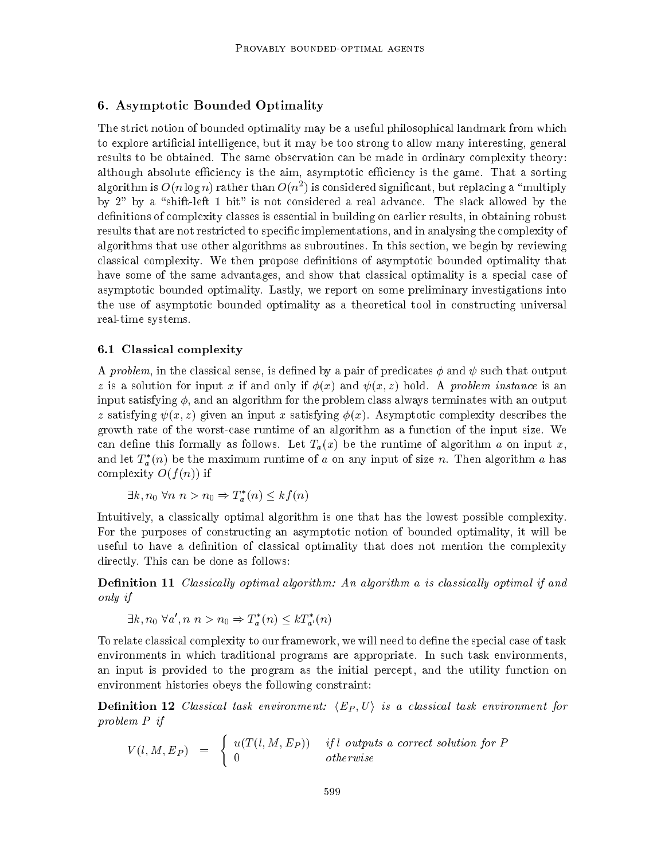# 6. Asymptotic Bounded Optimality

The strict notion of bounded optimality may be a useful philosophical landmark from which to explore articial intelligence, but it may be too strong to allow many interesting, general results to be obtained. The same observation can be made in ordinary complexity theory: although absolute efficiency is the aim, asymptotic efficiency is the game. That a sorting algorithm is  $O(n \log n)$  rather than  $O(n^2)$  is considered significant, but replacing a  $\mod n$ by  $2$ " by a "shift-left 1 bit" is not considered a real advance. The slack allowed by the definitions of complexity classes is essential in building on earlier results, in obtaining robust results that are not restricted to specific implementations, and in analysing the complexity of algorithms that use other algorithms as subroutines. In this section, we begin by reviewing classical complexity. We then propose denitions of asymptotic bounded optimality that have some of the same advantages, and show that classical optimality is a special case of asymptotic bounded optimality. Lastly, we report on some preliminary investigations into the use of asymptotic bounded optimality as a theoretical tool in constructing universal real-time systems.

### 6.1 Classical complexity

A problem, in the classical sense, is defined by a pair of predicates  $\phi$  and  $\psi$  such that output z is a solution for input x if and only if  $\phi(x)$  and  $\psi(x, z)$  hold. A problem instance is an input satisfying  $\phi$ , and an algorithm for the problem class always terminates with an output z satisfying  $\psi(x, z)$  given an input x satisfying  $\phi(x)$ . Asymptotic complexity describes the growth rate of the worst-case runtime of an algorithm as a function of the input size. We can define this formally as follows. Let  $T_a(x)$  be the runtime of algorithm a on input x, and let  $T_a^*(n)$  be the maximum runtime of a on any input of size n. Then algorithm a has complexity  $O(f(n))$  if

 $\exists k, n_0 \forall n \; n > n_0 \Rightarrow T_a^*(n) \leq k f(n)$ 

Intuitively, a classically optimal algorithm is one that has the lowest possible complexity. For the purposes of constructing an asymptotic notion of bounded optimality, it will be useful to have a definition of classical optimality that does not mention the complexity directly. This can be done as follows:

**Definition 11** Classically optimal algorithm: An algorithm a is classically optimal if and only if

$$
\exists k, n_0 \ \forall a', n \ n > n_0 \Rightarrow T_a^*(n) \leq k T_{a'}^*(n)
$$

To relate classical complexity to our framework, we will need to define the special case of task environments in which traditional programs are appropriate. In such task environments, an input is provided to the program as the initial percept, and the utility function on environment histories obeys the following constraint:

**Definition 12** Classical task environment:  $\langle E_P, U \rangle$  is a classical task environment for problem P if

$$
V(l, M, E_P) = \begin{cases} u(T(l, M, E_P)) & if l \text{ outputs a correct solution for } P \\ 0 & otherwise \end{cases}
$$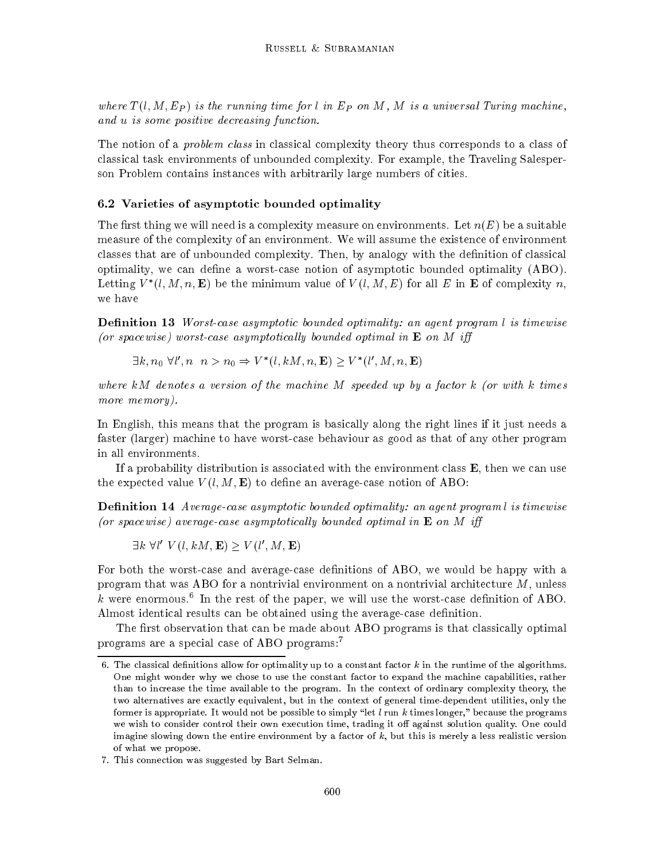where  $T(l, M, E_P)$  is the running time for l in  $E_P$  on M, M is a universal Turing machine, and u is some positive decreasing function.

The notion of a *problem class* in classical complexity theory thus corresponds to a class of classical task environments of unbounded complexity. For example, the Traveling Salesperson Problem contains instances with arbitrarily large numbers of cities.

### 6.2 Varieties of asymptotic bounded optimality

The first thing we will need is a complexity measure on environments. Let  $n(E)$  be a suitable measure of the complexity of an environment. We will assume the existence of environment classes that are of unbounded complexity. Then, by analogy with the definition of classical optimality, we can define a worst-case notion of asymptotic bounded optimality (ABO). Letting  $V^-(l, M, n, E)$  be the minimum value of  $V(l, M, E)$  for all  $E$  in E of complexity  $n$ , we have

**Definition 13** Worst-case asymptotic bounded optimality: an agent program l is timewise (or spacewise) worst-case asymptotically bounded optimal in  $E$  on M iff

 $\exists k, n_0 \; \forall l', n \; n > n_0 \Rightarrow V^*(l, kM, n, \mathbf{E}) \geq V^*(l', M, n, \mathbf{E})$ 

where  $kM$  denotes a version of the machine  $M$  speeded up by a factor  $k$  (or with  $k$  times more memory).

In English, this means that the program is basically along the right lines if it just needs a faster (larger) machine to have worst-case behaviour as good as that of any other program in all environments.

If a probability distribution is associated with the environment class  $\bf{E}$ , then we can use the expected value  $V(l, M, E)$  to define an average-case notion of ABO:

**Definition 14** Average-case asymptotic bounded optimality: an agent programl is timewise (or spacewise) average-case asymptotically bounded optimal in  $E$  on M iff

 $\exists k \; \forall l' \; V(l,kM,\mathbf{E}) \geq V(l',M,\mathbf{E})$ 

For both the worst-case and average-case definitions of ABO, we would be happy with a program that was ABO for a nontrivial environment on a nontrivial architecture  $M$ , unless  $\kappa$  were enormous. In the rest of the paper, we will use the worst-case definition of ABO. Almost identical results can be obtained using the average-case definition.

The first observation that can be made about ABO programs is that classically optimal programs are a special case of ABO programs:<sup>7</sup>

<sup>6.</sup> The classical definitions allow for optimality up to a constant factor  $k$  in the runtime of the algorithms. One might wonder why we chose to use the constant factor to expand the machine capabilities, rather than to increase the time available to the program. In the context of ordinary complexity theory, the two alternatives are exactly equivalent, but in the context of general time-dependent utilities, only the former is appropriate. It would not be possible to simply "let l run k times longer," because the programs we wish to consider control their own execution time, trading it off against solution quality. One could imagine slowing down the entire environment by a factor of  $k$ , but this is merely a less realistic version of what we propose.

<sup>7.</sup> This connection was suggested by Bart Selman.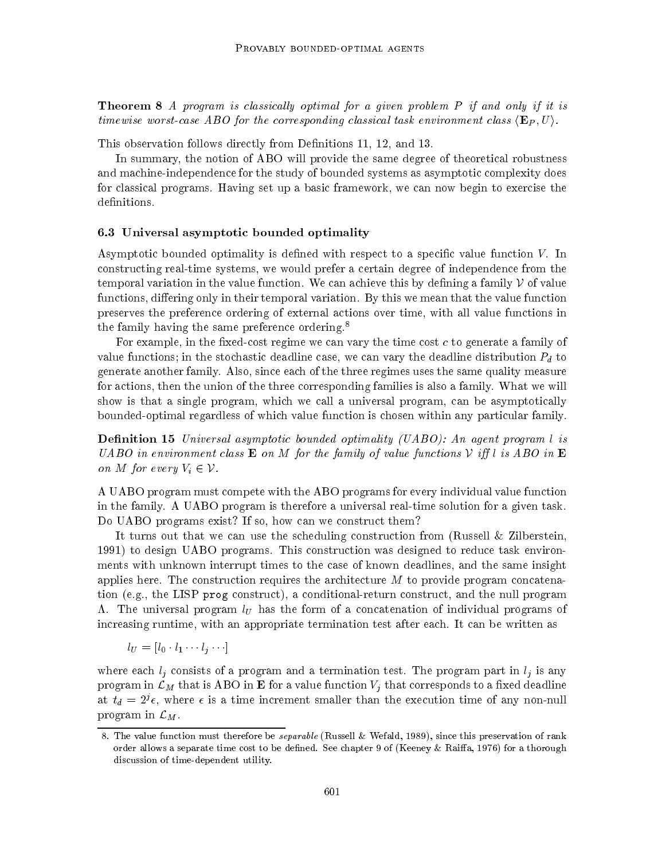**Theorem 8** A program is classically optimal for a given problem  $P$  if and only if it is timewise worst-case ABO for the corresponding classical task environment class  $\langle \mathbf{E}_P, U \rangle$ .

This observation follows directly from Definitions 11, 12, and 13.

In summary, the notion of ABO will provide the same degree of theoretical robustness and machine-independence for the study of bounded systems as asymptotic complexity does for classical programs. Having set up a basic framework, we can now begin to exercise the definitions.

### 6.3 Universal asymptotic bounded optimality

Asymptotic bounded optimality is defined with respect to a specific value function  $V$ . In constructing real-time systems, we would prefer a certain degree of independence from the temporal variation in the value function. We can achieve this by defining a family  $\mathcal V$  of value functions, differing only in their temporal variation. By this we mean that the value function preserves the preference ordering of external actions over time, with all value functions in the family having the same preference ordering.<sup>8</sup>

For example, in the fixed-cost regime we can vary the time cost  $c$  to generate a family of value functions; in the stochastic deadline case, we can vary the deadline distribution  $P_d$  to generate another family. Also, since each of the three regimes uses the same quality measure for actions, then the union of the three corresponding families is also a family. What we will show is that a single program, which we call a universal program, can be asymptotically bounded-optimal regardless of which value function is chosen within any particular family.

**Definition 15** Universal asymptotic bounded optimality (UABO): An agent program l is UABO in environment class **E** on M for the family of value functions  $V$  iff l is ABO in **E** on M for every  $V_i \in \mathcal{V}$ .

A UABO program must compete with the ABO programs for every individual value function in the family. A UABO program is therefore a universal real-time solution for a given task. Do UABO programs exist? If so, how can we construct them?

It turns out that we can use the scheduling construction from (Russell & Zilberstein, 1991) to design UABO programs. This construction was designed to reduce task environments with unknown interrupt times to the case of known deadlines, and the same insight applies here. The construction requires the architecture  $M$  to provide program concatenation (e.g., the LISP prog construct), a conditional-return construct, and the null program  $\Lambda$ . The universal program  $l_U$  has the form of a concatenation of individual programs of increasing runtime, with an appropriate termination test after each. It can be written as

$$
l_U=[l_0\cdot l_1\cdots l_j\cdots]
$$

where each  $l_i$  consists of a program and a termination test. The program part in  $l_i$  is any program in  $\mathcal{L}_M$  that is ABO in **E** for a value function  $V_j$  that corresponds to a fixed deadline at  $t_d = 2^j \epsilon$ , where  $\epsilon$  is a time increment smaller than the execution time of any non-null program in  $\mathcal{L}_M$ .

<sup>8.</sup> The value function must therefore be separable (Russell & Wefald, 1989), since this preservation of rank order allows a separate time cost to be defined. See chapter 9 of (Keeney & Raiffa, 1976) for a thorough discussion of time-dependent utility.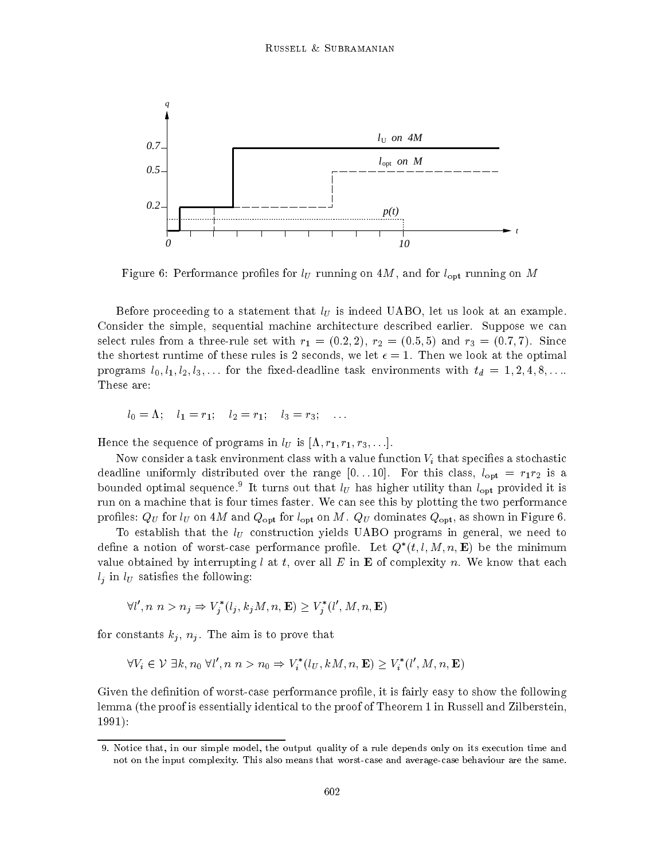

Figure 6: Performance profiles for  $l_U$  running on  $4M$ , and for  $l_{opt}$  running on M

Before proceeding to a statement that  $l_U$  is indeed UABO, let us look at an example. Consider the simple, sequential machine architecture described earlier. Suppose we can select rules from a three-rule set with  $r_1 = (0.2, 2), r_2 = (0.5, 5)$  and  $r_3 = (0.7, 7)$ . Since the shortest runtime of these rules is 2 seconds, we let  $\epsilon = 1$ . Then we look at the optimal programs  $l_0, l_1, l_2, l_3, \ldots$  for the fixed-deadline task environments with  $t_d = 1, 2, 4, 8, \ldots$ These are:

$$
l_0 = \Lambda
$$
;  $l_1 = r_1$ ;  $l_2 = r_1$ ;  $l_3 = r_3$ ; ...

Hence the sequence of programs in  $l_U$  is  $[\Lambda, r_1, r_1, r_3,...].$ 

Now consider a task environment class with a value function  $V_i$  that specifies a stochastic deadline uniformly distributed over the range  $[0...10]$ . For this class,  $l_{opt} = r_1 r_2$  is a bounded optimal sequence. To turns out that  $ij$  has higher utility than  $l_{\text{opt}}$  provided it is run on a machine that is four times faster. We can see this by plotting the two performance profiles:  $Q_U$  for  $l_U$  on 4M and  $Q_{\text{opt}}$  for  $l_{\text{opt}}$  on M.  $Q_U$  dominates  $Q_{\text{opt}}$ , as shown in Figure 6.

To establish that the  $l_U$  construction yields UABO programs in general, we need to define a notion of worst-case performance profile. Let  $Q_-(t, t, M, n, E)$  be the minimum value obtained by interrupting l at t, over all E in **E** of complexity n. We know that each  $l_i$  in  $l_U$  satisfies the following:

$$
\forall l', n \ n > n_j \Rightarrow V_j^*(l_j, k_j M, n, \mathbf{E}) \ge V_j^*(l', M, n, \mathbf{E})
$$

for constants  $k_j$ ,  $n_j$ . The aim is to prove that

$$
\forall V_i \in \mathcal{V} \exists k, n_0 \ \forall l', n \ n > n_0 \Rightarrow V_i^*(l_U, kM, n, \mathbf{E}) \ge V_i^*(l', M, n, \mathbf{E})
$$

Given the definition of worst-case performance profile, it is fairly easy to show the following lemma (the proof is essentially identical to the proof of Theorem 1 in Russell and Zilberstein, 1991):

<sup>9.</sup> Notice that, in our simple model, the output quality of a rule depends only on its execution time and not on the input complexity. This also means that worst-case and average-case behaviour are the same.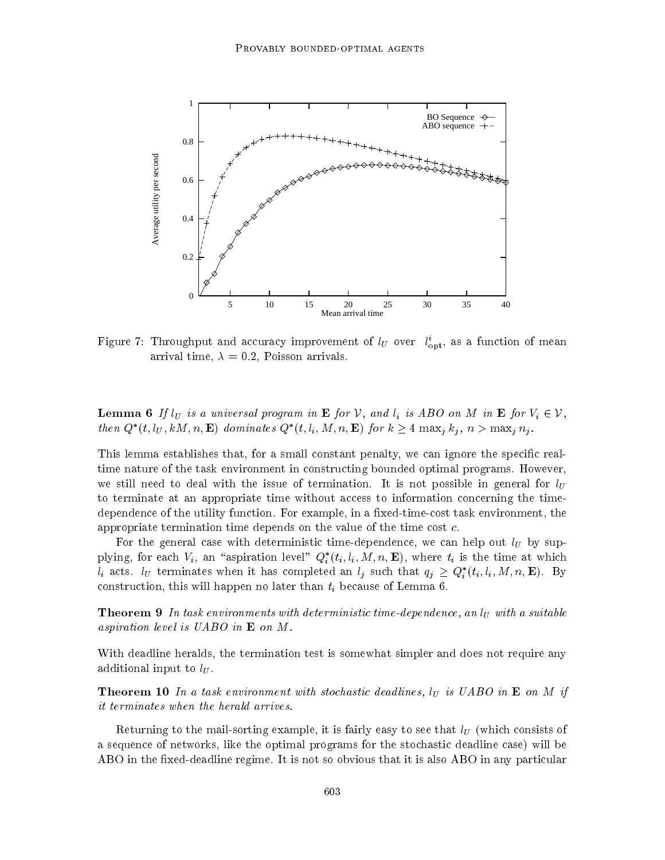

Figure 1: Throughput and accuracy improvement of  $_{U}$  over  $l_{\rm opt}$ , as a function of mean arrival time,  $\lambda = 0.2$ , Poisson arrivals.

**Lemma 6** If  $l_U$  is a universal program in **E** for V, and  $l_i$  is ABO on M in **E** for  $V_i \in V$ , then  $Q^*(t, l_U, kM, n, \mathbf{E})$  dominates  $Q^*(t, l_i, M, n, \mathbf{E})$  for  $k \geq 4$  max<sub>i</sub>  $k_j$ ,  $n > \max_i n_j$ .

This lemma establishes that, for a small constant penalty, we can ignore the specific realtime nature of the task environment in constructing bounded optimal programs. However, we still need to deal with the issue of termination. It is not possible in general for  $l_U$ to terminate at an appropriate time without access to information concerning the timedependence of the utility function. For example, in a fixed-time-cost task environment, the appropriate termination time depends on the value of the time cost c.

For the general case with deterministic time-dependence, we can help out  $l_U$  by supplying, for each  $v_i$ , an aspiration level  $Q_i$   $(i_i, i_i, M, n, E)$ , where  $i_i$  is the time at which  $l_i$  acts.  $l_U$  terminates when it has completed an  $l_j$  such that  $q_j \geq Q_i^*(t_i, l_i, M, n, \mathbf{E})$ . By construction, this will happen no later than  $t_i$  because of Lemma 6.

**Theorem 9** In task environments with deterministic time-dependence, an  $I_U$  with a suitable aspiration level is UABO in E on M.

With deadline heralds, the termination test is somewhat simpler and does not require any additional input to  $l_U$ .

**Theorem 10** In a task environment with stochastic deadlines,  $l_U$  is UABO in **E** on M if it terminates when the herald arrives.

Returning to the mail-sorting example, it is fairly easy to see that  $l_U$  (which consists of a sequence of networks, like the optimal programs for the stochastic deadline case) will be ABO in the fixed-deadline regime. It is not so obvious that it is also ABO in any particular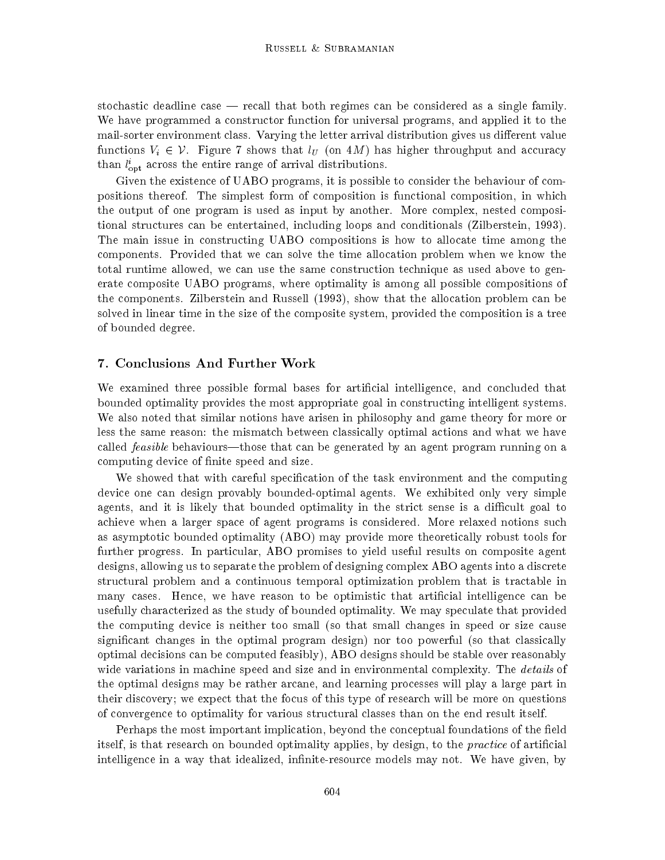stochastic deadline case  $-$  recall that both regimes can be considered as a single family. We have programmed a constructor function for universal programs, and applied it to the mail-sorter environment class. Varying the letter arrival distribution gives us different value functions  $V_i \in \mathcal{V}$ . Figure 7 shows that  $l_U$  (on 4M) has higher throughput and accuracy  $\iota_{\rm opt}$  across the entire range of arrival distributions.

Given the existence of UABO programs, it is possible to consider the behaviour of compositions thereof. The simplest form of composition is functional composition, in which the output of one program is used as input by another. More complex, nested compositional structures can be entertained, including loops and conditionals (Zilberstein, 1993). The main issue in constructing UABO compositions is how to allocate time among the components. Provided that we can solve the time allocation problem when we know the total runtime allowed, we can use the same construction technique as used above to generate composite UABO programs, where optimality is among all possible compositions of the components. Zilberstein and Russell (1993), show that the allocation problem can be solved in linear time in the size of the composite system, provided the composition is a tree of bounded degree.

### 7. Conclusions And Further Work

We examined three possible formal bases for artificial intelligence, and concluded that bounded optimality provides the most appropriate goal in constructing intelligent systems. We also noted that similar notions have arisen in philosophy and game theory for more or less the same reason: the mismatch between classically optimal actions and what we have called *feasible* behaviours—those that can be generated by an agent program running on a computing device of nite speed and size.

We showed that with careful specification of the task environment and the computing device one can design provably bounded-optimal agents. We exhibited only very simple agents, and it is likely that bounded optimality in the strict sense is a difficult goal to achieve when a larger space of agent programs is considered. More relaxed notions such as asymptotic bounded optimality (ABO) may provide more theoretically robust tools for further progress. In particular, ABO promises to yield useful results on composite agent designs, allowing us to separate the problem of designing complex ABO agents into a discrete structural problem and a continuous temporal optimization problem that is tractable in many cases. Hence, we have reason to be optimistic that articial intelligence can be usefully characterized as the study of bounded optimality. We may speculate that provided the computing device is neither too small (so that small changes in speed or size cause signicant changes in the optimal program design) nor too powerful (so that classically optimal decisions can be computed feasibly), ABO designs should be stable over reasonably wide variations in machine speed and size and in environmental complexity. The *details* of the optimal designs may be rather arcane, and learning processes will play a large part in their discovery; we expect that the focus of this type of research will be more on questions of convergence to optimality for various structural classes than on the end result itself.

Perhaps the most important implication, beyond the conceptual foundations of the field itself, is that research on bounded optimality applies, by design, to the *practice* of artificial intelligence in a way that idealized, infinite-resource models may not. We have given, by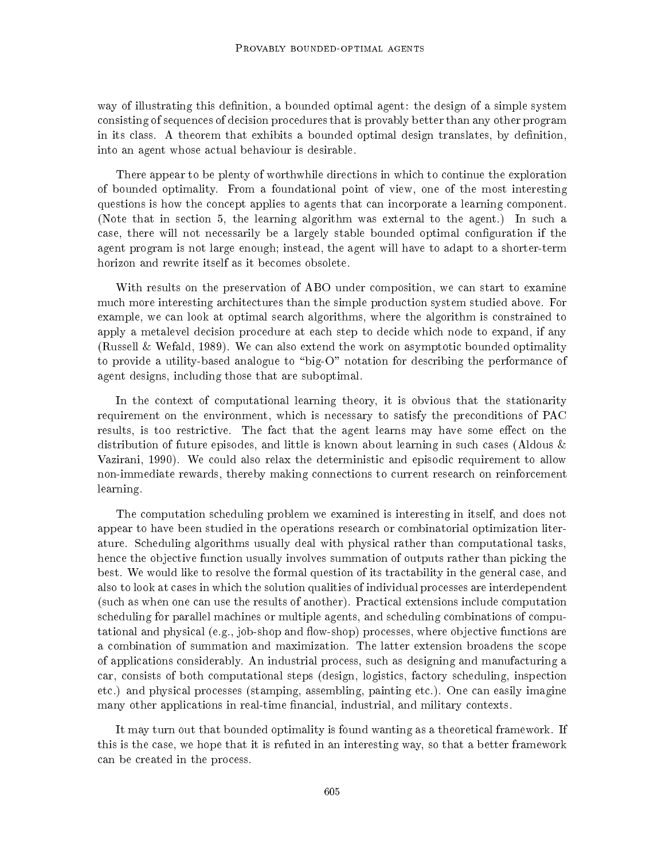way of illustrating this definition, a bounded optimal agent: the design of a simple system consisting of sequences of decision procedures that is provably better than any other program in its class. A theorem that exhibits a bounded optimal design translates, by definition, into an agent whose actual behaviour is desirable.

There appear to be plenty of worthwhile directions in which to continue the exploration of bounded optimality. From a foundational point of view, one of the most interesting questions is how the concept applies to agents that can incorporate a learning component. (Note that in section 5, the learning algorithm was external to the agent.) In such a case, there will not necessarily be a largely stable bounded optimal conguration if the agent program is not large enough; instead, the agent will have to adapt to a shorter-term horizon and rewrite itself as it becomes obsolete.

With results on the preservation of ABO under composition, we can start to examine much more interesting architectures than the simple production system studied above. For example, we can look at optimal search algorithms, where the algorithm is constrained to apply a metalevel decision procedure at each step to decide which node to expand, if any (Russell & Wefald, 1989). We can also extend the work on asymptotic bounded optimality to provide a utility-based analogue to "big-O" notation for describing the performance of agent designs, including those that are suboptimal.

In the context of computational learning theory, it is obvious that the stationarity requirement on the environment, which is necessary to satisfy the preconditions of PAC results, is too restrictive. The fact that the agent learns may have some effect on the distribution of future episodes, and little is known about learning in such cases (Aldous & Vazirani, 1990). We could also relax the deterministic and episodic requirement to allow non-immediate rewards, thereby making connections to current research on reinforcement learning.

The computation scheduling problem we examined is interesting in itself, and does not appear to have been studied in the operations research or combinatorial optimization literature. Scheduling algorithms usually deal with physical rather than computational tasks, hence the objective function usually involves summation of outputs rather than picking the best. We would like to resolve the formal question of its tractability in the general case, and also to look at cases in which the solution qualities of individual processes are interdependent (such as when one can use the results of another). Practical extensions include computation scheduling for parallel machines or multiple agents, and scheduling combinations of computational and physical (e.g., job-shop and flow-shop) processes, where objective functions are a combination of summation and maximization. The latter extension broadens the scope of applications considerably. An industrial process, such as designing and manufacturing a car, consists of both computational steps (design, logistics, factory scheduling, inspection etc.) and physical processes (stamping, assembling, painting etc.). One can easily imagine many other applications in real-time financial, industrial, and military contexts.

It may turn out that bounded optimality is found wanting as a theoretical framework. If this is the case, we hope that it is refuted in an interesting way, so that a better framework can be created in the process.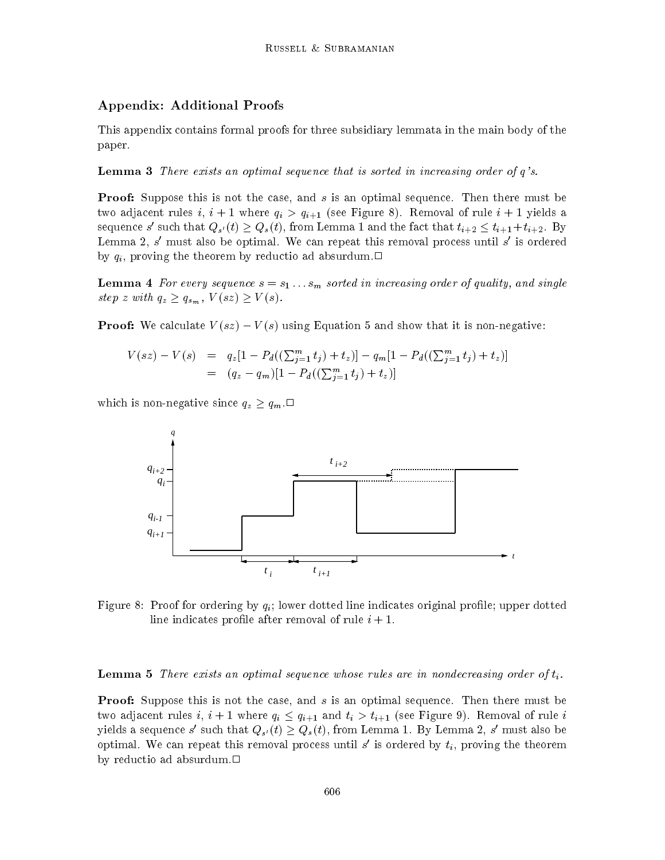## Appendix: Additional Proofs

This appendix contains formal proofs for three subsidiary lemmata in the main body of the paper.

**Lemma 3** There exists an optimal sequence that is sorted in increasing order of  $q$ 's.

**Proof:** Suppose this is not the case, and s is an optimal sequence. Then there must be two adjacent rules i,  $i + 1$  where  $q_i > q_{i+1}$  (see Figure 8). Removal of rule  $i + 1$  yields a sequence s' such that  $Q_{s'}(t) \geq Q_s(t)$ , from Lemma 1 and the fact that  $t_{i+2} \leq t_{i+1} + t_{i+2}$ . By Lemma 2, s <sup>0</sup> must also be optimal. We can repeat this removal process until s <sup>0</sup> is ordered by  $q_i$ , proving the theorem by reductio ad absurdum.

**Lemma 4** For every sequence  $s = s_1 \ldots s_m$  sorted in increasing order of quality, and single step z with  $q_z \geq q_{s_m}$ ,  $V(sz) \geq V(s)$ .

**Proof:** We calculate  $V(sz) - V(s)$  using Equation 5 and show that it is non-negative:

$$
V(sz) - V(s) = q_z[1 - P_d((\sum_{j=1}^m t_j) + t_z)] - q_m[1 - P_d((\sum_{j=1}^m t_j) + t_z)]
$$
  
=  $(q_z - q_m)[1 - P_d((\sum_{j=1}^m t_j) + t_z)]$ 

which is non-negative since  $q_z \ge q_m$ .



Figure 8: Proof for ordering by  $q_i$ ; lower dotted line indicates original profile; upper dotted line indicates profile after removal of rule  $i + 1$ .

**Lemma 5** There exists an optimal sequence whose rules are in nondecreasing order of  $t_i$ .

**Proof:** Suppose this is not the case, and s is an optimal sequence. Then there must be two adjacent rules i,  $i + 1$  where  $q_i \leq q_{i+1}$  and  $t_i > t_{i+1}$  (see Figure 9). Removal of rule i yields a sequence s' such that  $Q_{s'}(t) \geq Q_s(t)$ , from Lemma 1. By Lemma 2, s' must also be optimal. We can repeat this removal process until  $s$  is ordered by  $t_i$ , proving the theorem by reductio ad absurdum. $\Box$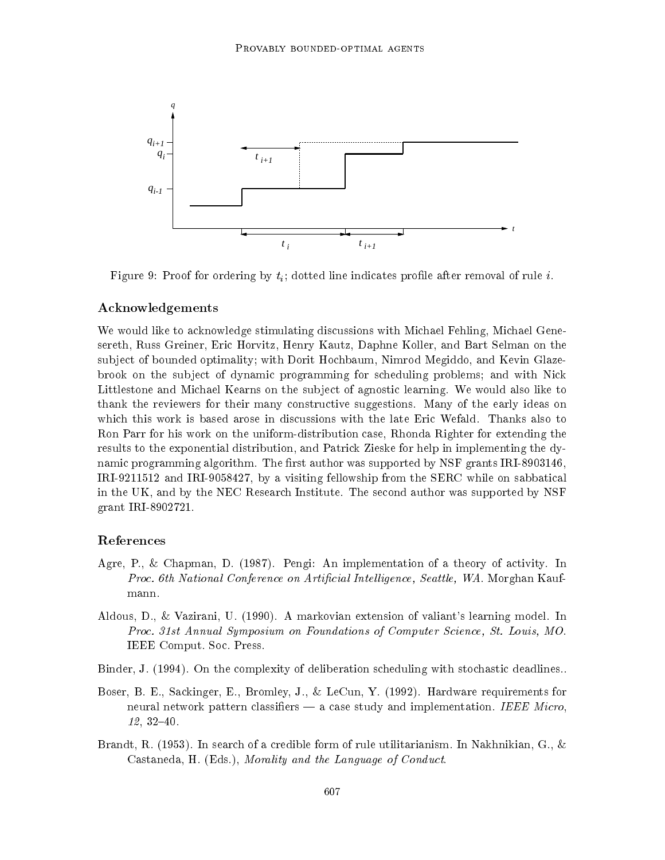

Figure 9: Proof for ordering by  $t_i$ ; dotted line indicates profile after removal of rule i.

### Acknowledgements

We would like to acknowledge stimulating discussions with Michael Fehling, Michael Genesereth, Russ Greiner, Eric Horvitz, Henry Kautz, Daphne Koller, and Bart Selman on the subject of bounded optimality; with Dorit Hochbaum, Nimrod Megiddo, and Kevin Glazebrook on the subject of dynamic programming for scheduling problems; and with Nick Littlestone and Michael Kearns on the subject of agnostic learning. We would also like to thank the reviewers for their many constructive suggestions. Many of the early ideas on which this work is based arose in discussions with the late Eric Wefald. Thanks also to Ron Parr for his work on the uniform-distribution case, Rhonda Righter for extending the results to the exponential distribution, and Patrick Zieske for help in implementing the dynamic programming algorithm. The first author was supported by  $\text{NSF}$  grants IRI-8903146, IRI-9211512 and IRI-9058427, by a visiting fellowship from the SERC while on sabbatical in the UK, and by the NEC Research Institute. The second author was supported by NSF grant IRI-8902721.

### References

- Agre, P., & Chapman, D. (1987). Pengi: An implementation of a theory of activity. In Proc. 6th National Conference on Artificial Intelligence, Seattle, WA. Morghan Kaufmann.
- Aldous, D., & Vazirani, U. (1990). A markovian extension of valiant's learning model. In Proc. 31st Annual Symposium on Foundations of Computer Science, St. Louis, MO. IEEE Comput. Soc. Press.
- Binder, J. (1994). On the complexity of deliberation scheduling with stochastic deadlines..
- Boser, B. E., Sackinger, E., Bromley, J., & LeCun, Y. (1992). Hardware requirements for neural network pattern classifiers  $-$  a case study and implementation. IEEE Micro,  $12, 32{-}40.$
- Brandt, R. (1953). In search of a credible form of rule utilitarianism. In Nakhnikian, G., & Castaneda, H. (Eds.), Morality and the Language of Conduct.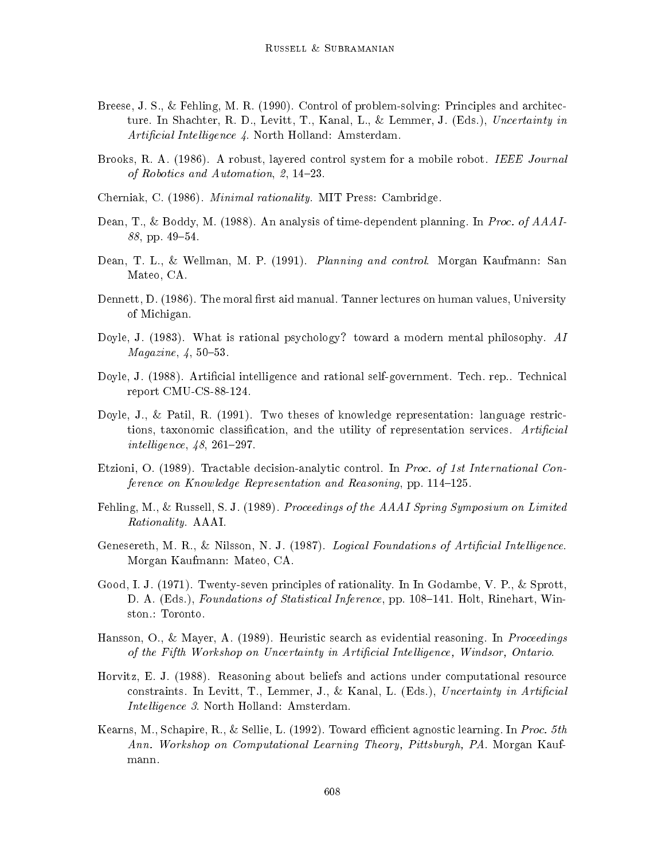- Breese, J. S., & Fehling, M. R. (1990). Control of problem-solving: Principles and architecture. In Shachter, R. D., Levitt, T., Kanal, L., & Lemmer, J. (Eds.), Uncertainty in Artificial Intelligence 4. North Holland: Amsterdam.
- Brooks, R. A. (1986). A robust, layered control system for a mobile robot. IEEE Journal of Robotics and Automation,  $2, 14-23$ .
- Cherniak, C. (1986). Minimal rationality. MIT Press: Cambridge.
- Dean, T., & Boddy, M. (1988). An analysis of time-dependent planning. In Proc. of AAAI-88, pp. 49-54.
- Dean, T. L., & Wellman, M. P. (1991). Planning and control. Morgan Kaufmann: San Mateo, CA.
- Dennett, D. (1986). The moral first aid manual. Tanner lectures on human values, University of Michigan.
- Doyle, J. (1983). What is rational psychology? toward a modern mental philosophy. AI  $Magazine, 4, 50-53.$
- Doyle, J. (1988). Articial intelligence and rational self-government. Tech. rep.. Technical report CMU-CS-88-124.
- Doyle, J., & Patil, R. (1991). Two theses of knowledge representation: language restrictions, taxonomic classification, and the utility of representation services. Artificial intelligence,  $48$ ,  $261-297$ .
- Etzioni, O. (1989). Tractable decision-analytic control. In Proc. of 1st International Conference on Knowledge Representation and Reasoning, pp.  $114-125$ .
- Fehling, M., & Russell, S. J. (1989). Proceedings of the AAAI Spring Symposium on Limited Rationality. AAAI.
- Genesereth, M. R., & Nilsson, N. J.  $(1987)$ . Logical Foundations of Artificial Intelligence. Morgan Kaufmann: Mateo, CA.
- Good, I. J. (1971). Twenty-seven principles of rationality. In In Godambe, V. P., & Sprott, D. A. (Eds.), *Foundations of Statistical Inference*, pp. 108–141. Holt, Rinehart, Winston.: Toronto.
- Hansson, O., & Mayer, A. (1989). Heuristic search as evidential reasoning. In Proceedings of the Fifth Workshop on Uncertainty in Artificial Intelligence, Windsor, Ontario.
- Horvitz, E. J. (1988). Reasoning about beliefs and actions under computational resource constraints. In Levitt, T., Lemmer, J., & Kanal, L. (Eds.), Uncertainty in Artificial Intelligence 3. North Holland: Amsterdam.
- Kearns, M., Schapire, R., & Sellie, L. (1992). Toward efficient agnostic learning. In Proc. 5th Ann. Workshop on Computational Learning Theory, Pittsburgh, PA. Morgan Kaufmann.